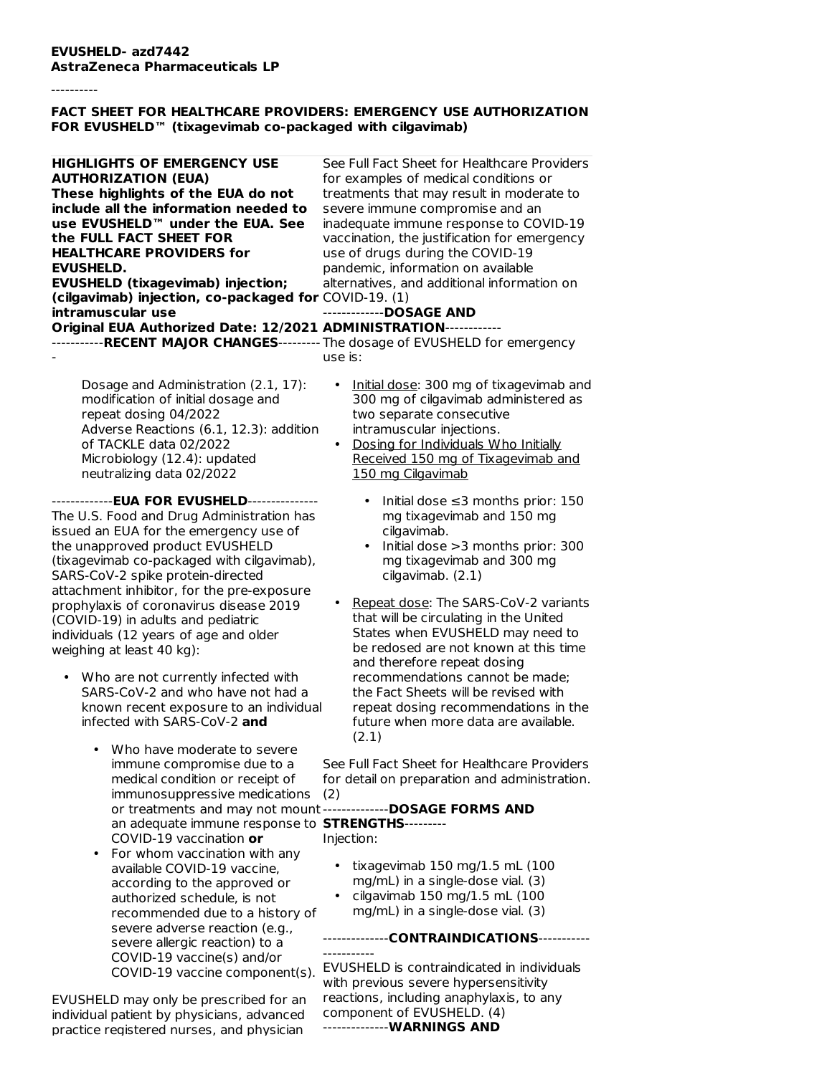#### ----------

### **FACT SHEET FOR HEALTHCARE PROVIDERS: EMERGENCY USE AUTHORIZATION FOR EVUSHELD™ (tixagevimab co-packaged with cilgavimab)**

| <b>HIGHLIGHTS OF EMERGENCY USE</b>                                            | See Full Fact Sheet for Healthcare Providers |
|-------------------------------------------------------------------------------|----------------------------------------------|
| <b>AUTHORIZATION (EUA)</b>                                                    | for examples of medical conditions or        |
| These highlights of the EUA do not                                            | treatments that may result in moderate to    |
| include all the information needed to                                         | severe immune compromise and an              |
| use EVUSHELD™ under the EUA. See                                              | inadequate immune response to COVID-19       |
| the FULL FACT SHEET FOR                                                       | vaccination, the justification for emergency |
| <b>HEALTHCARE PROVIDERS for</b>                                               | use of drugs during the COVID-19             |
| <b>EVUSHELD.</b>                                                              | pandemic, information on available           |
| <b>EVUSHELD (tixagevimab) injection;</b>                                      | alternatives, and additional information on  |
| (cilgavimab) injection, co-packaged for COVID-19. (1)                         |                                              |
| intramuscular use                                                             | DOSAGE AND                                   |
| Original EUA Authorized Date: 12/2021 ADMINISTRATION------------              |                                              |
| -----------RECENT MAJOR CHANGES--------- The dosage of EVUSHELD for emergency |                                              |
|                                                                               | use is:                                      |
|                                                                               |                                              |
| Dosage and Administration (2.1, 17):                                          | Initial dose: 300 mg of tixagevimab and      |
| modification of initial dosage and                                            | 300 mg of cilgavimab administered as         |
| repeat dosing 04/2022                                                         | two separate consecutive                     |
| Adverse Reactions (6.1, 12.3): addition                                       | intramuscular injections.                    |
| of TACKLE data 02/2022                                                        | Dosing for Individuals Who Initially         |
| Microbiology (12.4): updated                                                  | Received 150 mg of Tixagevimab and           |

-------------**EUA FOR EVUSHELD**--------------- The U.S. Food and Drug Administration has issued an EUA for the emergency use of the unapproved product EVUSHELD (tixagevimab co-packaged with cilgavimab), SARS-CoV-2 spike protein-directed attachment inhibitor, for the pre-exposure prophylaxis of coronavirus disease 2019 (COVID-19) in adults and pediatric individuals (12 years of age and older weighing at least 40 kg):

neutralizing data 02/2022

- Who are not currently infected with SARS-CoV-2 and who have not had a known recent exposure to an individual infected with SARS-CoV-2 **and**
	- (2) immunosuppressive medications or treatments and may not mount--------------DOSAGE FORMS AND an adequate immune response to **STRENGTHS**---------• Who have moderate to severe immune compromise due to a medical condition or receipt of COVID-19 vaccination **or**
	- For whom vaccination with any available COVID-19 vaccine, according to the approved or authorized schedule, is not recommended due to a history of severe adverse reaction (e.g., severe allergic reaction) to a COVID-19 vaccine(s) and/or COVID-19 vaccine component(s).

EVUSHELD may only be prescribed for an individual patient by physicians, advanced practice registered nurses, and physician

• Initial dose ≤3 months prior: 150 mg tixagevimab and 150 mg cilgavimab.

150 mg Cilgavimab

- Initial dose >3 months prior: 300 mg tixagevimab and 300 mg cilgavimab. (2.1)
- Repeat dose: The SARS-CoV-2 variants that will be circulating in the United States when EVUSHELD may need to be redosed are not known at this time and therefore repeat dosing recommendations cannot be made; the Fact Sheets will be revised with repeat dosing recommendations in the future when more data are available. (2.1)

See Full Fact Sheet for Healthcare Providers for detail on preparation and administration.

Injection:

- tixagevimab 150 mg/1.5 mL (100 mg/mL) in a single-dose vial. (3)
- cilgavimab 150 mg/1.5 mL (100 mg/mL) in a single-dose vial. (3)

--------------**CONTRAINDICATIONS**-----------

----------- EVUSHELD is contraindicated in individuals with previous severe hypersensitivity reactions, including anaphylaxis, to any component of EVUSHELD. (4) --------------**WARNINGS AND**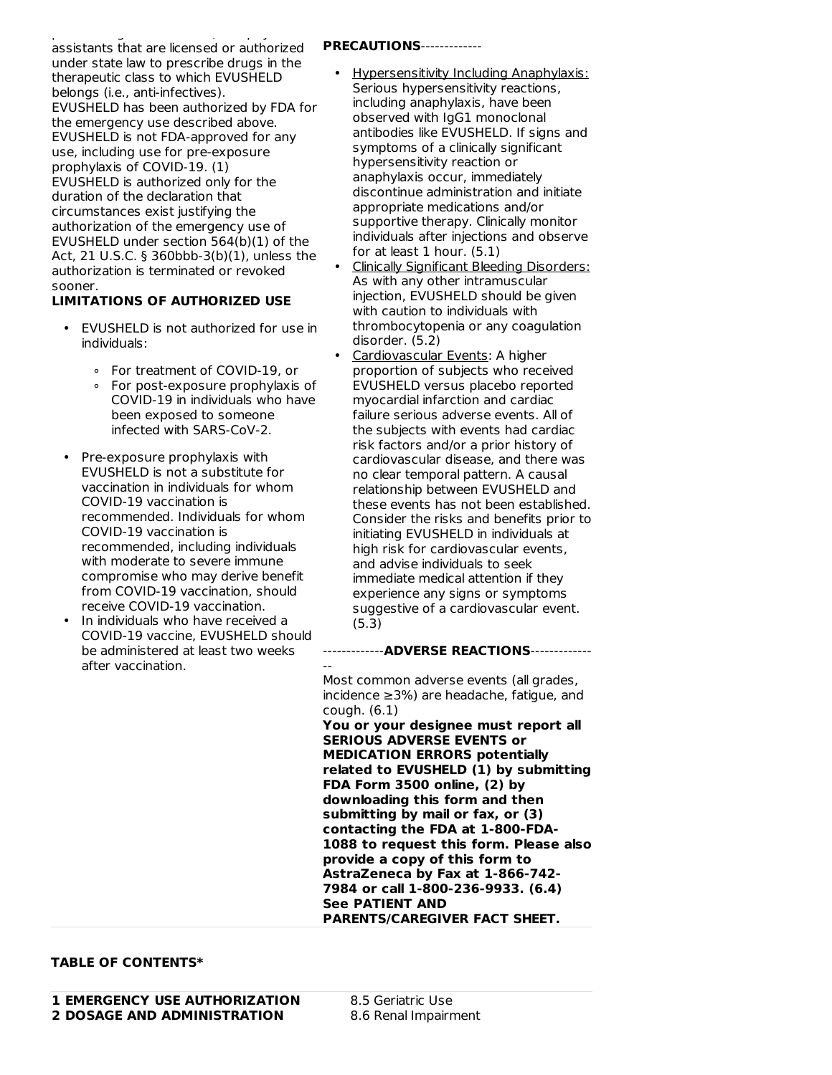assistants that are licensed or authorized under state law to prescribe drugs in the therapeutic class to which EVUSHELD belongs (i.e., anti-infectives). EVUSHELD has been authorized by FDA for the emergency use described above. EVUSHELD is not FDA-approved for any use, including use for pre-exposure prophylaxis of COVID-19. (1) EVUSHELD is authorized only for the duration of the declaration that circumstances exist justifying the authorization of the emergency use of EVUSHELD under section 564(b)(1) of the Act, 21 U.S.C. § 360bbb-3(b)(1), unless the authorization is terminated or revoked sooner.

practice registered nurses, and physician

### **LIMITATIONS OF AUTHORIZED USE**

- EVUSHELD is not authorized for use in individuals:
	- ∘ For treatment of COVID-19, or
	- ∘ For post-exposure prophylaxis of COVID-19 in individuals who have been exposed to someone infected with SARS-CoV-2.
- Pre-exposure prophylaxis with EVUSHELD is not a substitute for vaccination in individuals for whom COVID-19 vaccination is recommended. Individuals for whom COVID-19 vaccination is recommended, including individuals with moderate to severe immune compromise who may derive benefit from COVID-19 vaccination, should receive COVID-19 vaccination.
- In individuals who have received a COVID-19 vaccine, EVUSHELD should be administered at least two weeks after vaccination.

### **PRECAUTIONS**-------------

- Hypersensitivity Including Anaphylaxis: Serious hypersensitivity reactions, including anaphylaxis, have been observed with IgG1 monoclonal antibodies like EVUSHELD. If signs and symptoms of a clinically significant hypersensitivity reaction or anaphylaxis occur, immediately discontinue administration and initiate appropriate medications and/or supportive therapy. Clinically monitor individuals after injections and observe for at least 1 hour. (5.1)
- Clinically Significant Bleeding Disorders: As with any other intramuscular injection, EVUSHELD should be given with caution to individuals with thrombocytopenia or any coagulation disorder. (5.2)
- Cardiovascular Events: A higher proportion of subjects who received EVUSHELD versus placebo reported myocardial infarction and cardiac failure serious adverse events. All of the subjects with events had cardiac risk factors and/or a prior history of cardiovascular disease, and there was no clear temporal pattern. A causal relationship between EVUSHELD and these events has not been established. Consider the risks and benefits prior to initiating EVUSHELD in individuals at high risk for cardiovascular events, and advise individuals to seek immediate medical attention if they experience any signs or symptoms suggestive of a cardiovascular event. (5.3)

#### -------------**ADVERSE REACTIONS**-------------

-- Most common adverse events (all grades, incidence ≥3%) are headache, fatigue, and cough. (6.1)

**You or your designee must report all SERIOUS ADVERSE EVENTS or MEDICATION ERRORS potentially related to EVUSHELD (1) by submitting FDA Form 3500 online, (2) by downloading this form and then submitting by mail or fax, or (3) contacting the FDA at 1-800-FDA-1088 to request this form. Please also provide a copy of this form to AstraZeneca by Fax at 1-866-742- 7984 or call 1-800-236-9933. (6.4) See PATIENT AND PARENTS/CAREGIVER FACT SHEET.**

#### **TABLE OF CONTENTS\***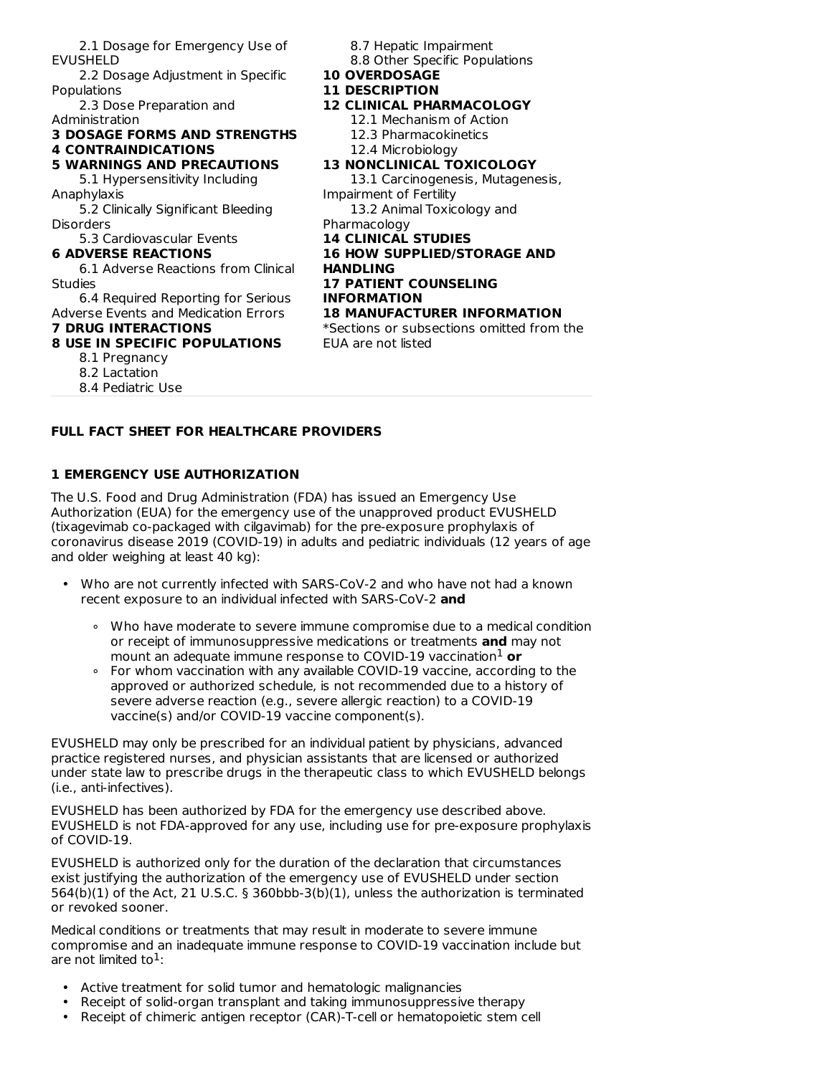2.1 Dosage for Emergency Use of EVUSHELD

2.2 Dosage Adjustment in Specific Populations

2.3 Dose Preparation and Administration

# **3 DOSAGE FORMS AND STRENGTHS 4 CONTRAINDICATIONS**

**5 WARNINGS AND PRECAUTIONS**

5.1 Hypersensitivity Including Anaphylaxis

5.2 Clinically Significant Bleeding Disorders

5.3 Cardiovascular Events

### **6 ADVERSE REACTIONS**

6.1 Adverse Reactions from Clinical Studies

6.4 Required Reporting for Serious Adverse Events and Medication Errors

# **7 DRUG INTERACTIONS**

# **8 USE IN SPECIFIC POPULATIONS**

8.1 Pregnancy

8.2 Lactation

8.4 Pediatric Use

8.7 Hepatic Impairment

- 8.8 Other Specific Populations
- **10 OVERDOSAGE**
- **11 DESCRIPTION**
- **12 CLINICAL PHARMACOLOGY**
	- 12.1 Mechanism of Action
	- 12.3 Pharmacokinetics
	- 12.4 Microbiology

# **13 NONCLINICAL TOXICOLOGY**

13.1 Carcinogenesis, Mutagenesis, Impairment of Fertility

13.2 Animal Toxicology and

Pharmacology

**14 CLINICAL STUDIES 16 HOW SUPPLIED/STORAGE AND HANDLING**

**17 PATIENT COUNSELING**

# **INFORMATION**

# **18 MANUFACTURER INFORMATION**

\*Sections or subsections omitted from the EUA are not listed

# **FULL FACT SHEET FOR HEALTHCARE PROVIDERS**

### **1 EMERGENCY USE AUTHORIZATION**

The U.S. Food and Drug Administration (FDA) has issued an Emergency Use Authorization (EUA) for the emergency use of the unapproved product EVUSHELD (tixagevimab co-packaged with cilgavimab) for the pre-exposure prophylaxis of coronavirus disease 2019 (COVID-19) in adults and pediatric individuals (12 years of age and older weighing at least 40 kg):

- Who are not currently infected with SARS-CoV-2 and who have not had a known recent exposure to an individual infected with SARS-CoV-2 **and**
	- ∘ Who have moderate to severe immune compromise due to a medical condition or receipt of immunosuppressive medications or treatments **and** may not mount an adequate immune response to COVID-19 vaccination<sup>1</sup> or
	- ∘ For whom vaccination with any available COVID-19 vaccine, according to the approved or authorized schedule, is not recommended due to a history of severe adverse reaction (e.g., severe allergic reaction) to a COVID-19 vaccine(s) and/or COVID-19 vaccine component(s).

EVUSHELD may only be prescribed for an individual patient by physicians, advanced practice registered nurses, and physician assistants that are licensed or authorized under state law to prescribe drugs in the therapeutic class to which EVUSHELD belongs (i.e., anti-infectives).

EVUSHELD has been authorized by FDA for the emergency use described above. EVUSHELD is not FDA-approved for any use, including use for pre-exposure prophylaxis of COVID-19.

EVUSHELD is authorized only for the duration of the declaration that circumstances exist justifying the authorization of the emergency use of EVUSHELD under section 564(b)(1) of the Act, 21 U.S.C. § 360bbb-3(b)(1), unless the authorization is terminated or revoked sooner.

Medical conditions or treatments that may result in moderate to severe immune compromise and an inadequate immune response to COVID-19 vaccination include but are not limited to $^1$ :

- Active treatment for solid tumor and hematologic malignancies
- Receipt of solid-organ transplant and taking immunosuppressive therapy
- Receipt of chimeric antigen receptor (CAR)-T-cell or hematopoietic stem cell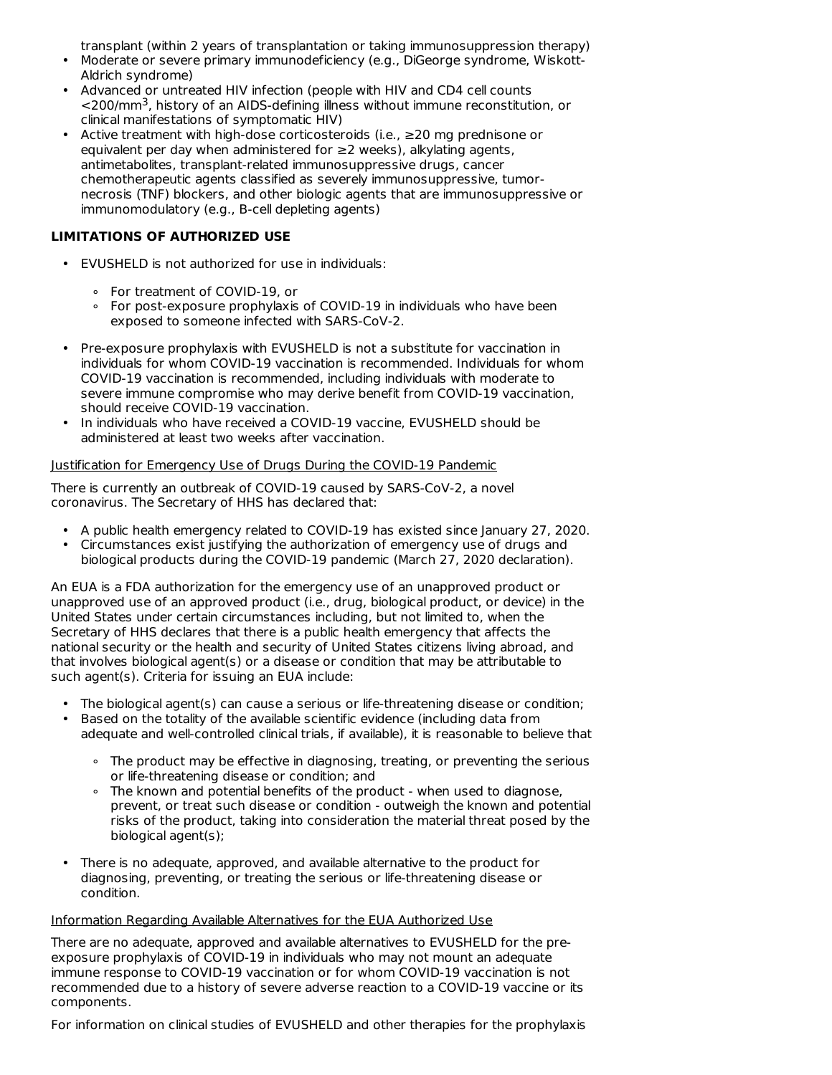transplant (within 2 years of transplantation or taking immunosuppression therapy)

- Moderate or severe primary immunodeficiency (e.g., DiGeorge syndrome, Wiskott-Aldrich syndrome)
- Advanced or untreated HIV infection (people with HIV and CD4 cell counts <200/mm<sup>3</sup>, history of an AIDS-defining illness without immune reconstitution, or clinical manifestations of symptomatic HIV)
- Active treatment with high-dose corticosteroids (i.e., ≥20 mg prednisone or equivalent per day when administered for ≥2 weeks), alkylating agents, antimetabolites, transplant-related immunosuppressive drugs, cancer chemotherapeutic agents classified as severely immunosuppressive, tumornecrosis (TNF) blockers, and other biologic agents that are immunosuppressive or immunomodulatory (e.g., B-cell depleting agents)

### **LIMITATIONS OF AUTHORIZED USE**

•

- EVUSHELD is not authorized for use in individuals:
	- ∘ For treatment of COVID-19, or
	- ∘ For post-exposure prophylaxis of COVID-19 in individuals who have been exposed to someone infected with SARS-CoV-2.
- Pre-exposure prophylaxis with EVUSHELD is not a substitute for vaccination in individuals for whom COVID-19 vaccination is recommended. Individuals for whom COVID-19 vaccination is recommended, including individuals with moderate to severe immune compromise who may derive benefit from COVID-19 vaccination, should receive COVID-19 vaccination.
- In individuals who have received a COVID-19 vaccine, EVUSHELD should be administered at least two weeks after vaccination.

### Justification for Emergency Use of Drugs During the COVID-19 Pandemic

There is currently an outbreak of COVID-19 caused by SARS-CoV-2, a novel coronavirus. The Secretary of HHS has declared that:

- A public health emergency related to COVID-19 has existed since January 27, 2020.
- Circumstances exist justifying the authorization of emergency use of drugs and biological products during the COVID-19 pandemic (March 27, 2020 declaration).

An EUA is a FDA authorization for the emergency use of an unapproved product or unapproved use of an approved product (i.e., drug, biological product, or device) in the United States under certain circumstances including, but not limited to, when the Secretary of HHS declares that there is a public health emergency that affects the national security or the health and security of United States citizens living abroad, and that involves biological agent(s) or a disease or condition that may be attributable to such agent(s). Criteria for issuing an EUA include:

- The biological agent(s) can cause a serious or life-threatening disease or condition;
- Based on the totality of the available scientific evidence (including data from adequate and well-controlled clinical trials, if available), it is reasonable to believe that
	- ∘ The product may be effective in diagnosing, treating, or preventing the serious or life-threatening disease or condition; and
	- ∘ The known and potential benefits of the product when used to diagnose, prevent, or treat such disease or condition - outweigh the known and potential risks of the product, taking into consideration the material threat posed by the biological agent(s);
- There is no adequate, approved, and available alternative to the product for diagnosing, preventing, or treating the serious or life-threatening disease or condition.

### Information Regarding Available Alternatives for the EUA Authorized Use

There are no adequate, approved and available alternatives to EVUSHELD for the preexposure prophylaxis of COVID-19 in individuals who may not mount an adequate immune response to COVID-19 vaccination or for whom COVID-19 vaccination is not recommended due to a history of severe adverse reaction to a COVID-19 vaccine or its components.

For information on clinical studies of EVUSHELD and other therapies for the prophylaxis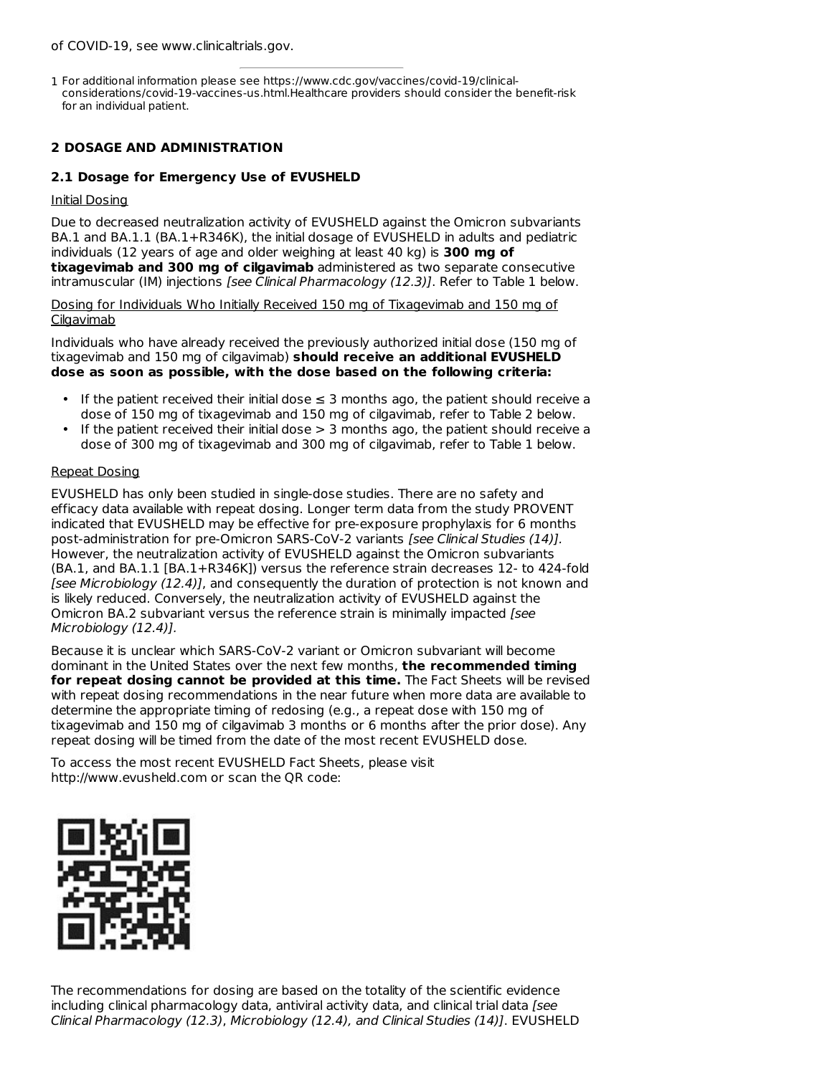of COVID-19, see www.clinicaltrials.gov.

1 For additional information please see https://www.cdc.gov/vaccines/covid-19/clinicalconsiderations/covid-19-vaccines-us.html.Healthcare providers should consider the benefit-risk for an individual patient.

# **2 DOSAGE AND ADMINISTRATION**

### **2.1 Dosage for Emergency Use of EVUSHELD**

### Initial Dosing

Due to decreased neutralization activity of EVUSHELD against the Omicron subvariants BA.1 and BA.1.1 (BA.1+R346K), the initial dosage of EVUSHELD in adults and pediatric individuals (12 years of age and older weighing at least 40 kg) is **300 mg of tixagevimab and 300 mg of cilgavimab** administered as two separate consecutive intramuscular (IM) injections [see Clinical Pharmacology (12.3)]. Refer to Table 1 below.

Dosing for Individuals Who Initially Received 150 mg of Tixagevimab and 150 mg of Cilgavimab

Individuals who have already received the previously authorized initial dose (150 mg of tixagevimab and 150 mg of cilgavimab) **should receive an additional EVUSHELD dose as soon as possible, with the dose based on the following criteria:**

- If the patient received their initial dose  $\leq$  3 months ago, the patient should receive a dose of 150 mg of tixagevimab and 150 mg of cilgavimab, refer to Table 2 below.
- If the patient received their initial dose  $> 3$  months ago, the patient should receive a dose of 300 mg of tixagevimab and 300 mg of cilgavimab, refer to Table 1 below.

### Repeat Dosing

EVUSHELD has only been studied in single-dose studies. There are no safety and efficacy data available with repeat dosing. Longer term data from the study PROVENT indicated that EVUSHELD may be effective for pre-exposure prophylaxis for 6 months post-administration for pre-Omicron SARS-CoV-2 variants [see Clinical Studies (14)]. However, the neutralization activity of EVUSHELD against the Omicron subvariants (BA.1, and BA.1.1 [BA.1+R346K]) versus the reference strain decreases 12- to 424-fold [see Microbiology (12.4)], and consequently the duration of protection is not known and is likely reduced. Conversely, the neutralization activity of EVUSHELD against the Omicron BA.2 subvariant versus the reference strain is minimally impacted [see Microbiology (12.4)].

Because it is unclear which SARS-CoV-2 variant or Omicron subvariant will become dominant in the United States over the next few months, **the recommended timing for repeat dosing cannot be provided at this time.** The Fact Sheets will be revised with repeat dosing recommendations in the near future when more data are available to determine the appropriate timing of redosing (e.g., a repeat dose with 150 mg of tixagevimab and 150 mg of cilgavimab 3 months or 6 months after the prior dose). Any repeat dosing will be timed from the date of the most recent EVUSHELD dose.

To access the most recent EVUSHELD Fact Sheets, please visit http://www.evusheld.com or scan the QR code:



The recommendations for dosing are based on the totality of the scientific evidence including clinical pharmacology data, antiviral activity data, and clinical trial data [see Clinical Pharmacology (12.3), Microbiology (12.4), and Clinical Studies (14)]. EVUSHELD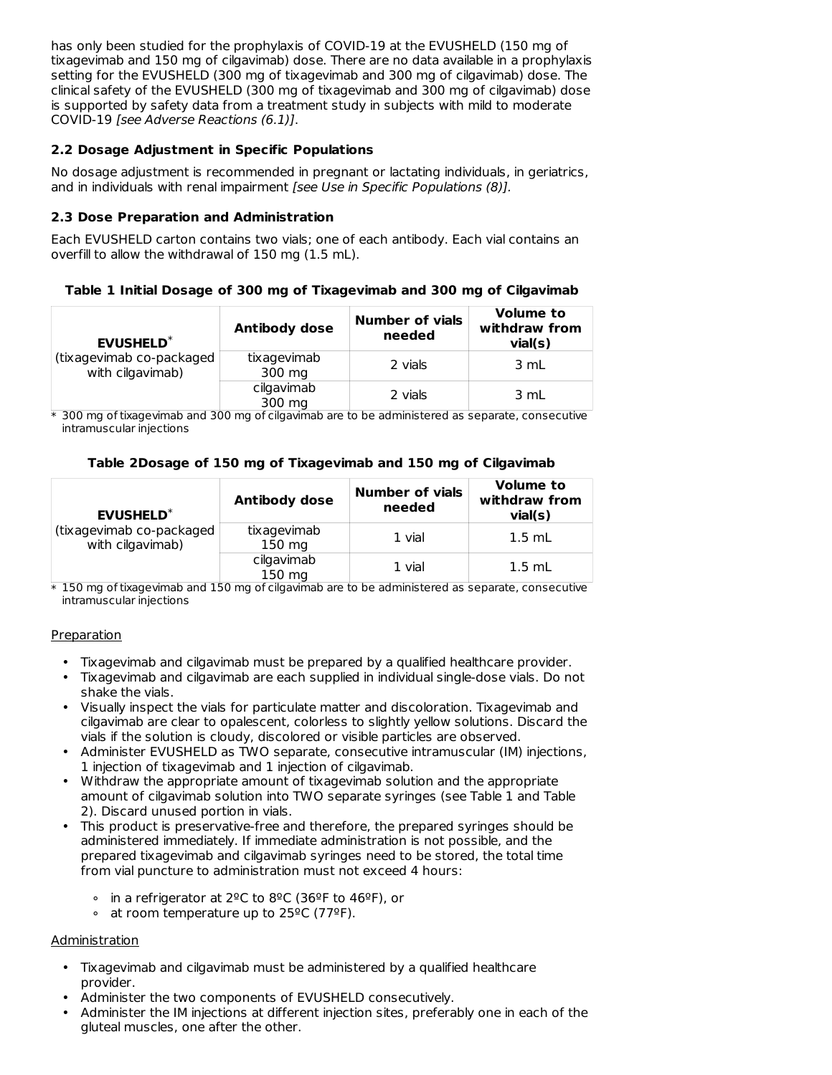has only been studied for the prophylaxis of COVID-19 at the EVUSHELD (150 mg of tixagevimab and 150 mg of cilgavimab) dose. There are no data available in a prophylaxis setting for the EVUSHELD (300 mg of tixagevimab and 300 mg of cilgavimab) dose. The clinical safety of the EVUSHELD (300 mg of tixagevimab and 300 mg of cilgavimab) dose is supported by safety data from a treatment study in subjects with mild to moderate COVID-19 [see Adverse Reactions (6.1)].

# **2.2 Dosage Adjustment in Specific Populations**

No dosage adjustment is recommended in pregnant or lactating individuals, in geriatrics, and in individuals with renal impairment [see Use in Specific Populations (8)].

# **2.3 Dose Preparation and Administration**

Each EVUSHELD carton contains two vials; one of each antibody. Each vial contains an overfill to allow the withdrawal of 150 mg (1.5 mL).

**Table 1 Initial Dosage of 300 mg of Tixagevimab and 300 mg of Cilgavimab**

| <b>EVUSHELD*</b>                              | <b>Antibody dose</b>  | <b>Number of vials</b><br>needed | <b>Volume to</b><br>withdraw from<br>via(s) |
|-----------------------------------------------|-----------------------|----------------------------------|---------------------------------------------|
| (tixagevimab co-packaged)<br>with cilgavimab) | tixagevimab<br>300 mg | 2 vials                          | 3 mL                                        |
|                                               | cilgavimab<br>300 mg  | 2 vials                          | 3 mL                                        |

\* 300 mg of tixagevimab and 300 mg of cilgavimab are to be administered as separate, consecutive intramuscular injections

# **Table 2Dosage of 150 mg of Tixagevimab and 150 mg of Cilgavimab**

| <b>EVUSHELD*</b>                              | <b>Antibody dose</b>    | <b>Number of vials</b><br>needed | <b>Volume to</b><br>withdraw from<br>via(s) |
|-----------------------------------------------|-------------------------|----------------------------------|---------------------------------------------|
| (tixagevimab co-packaged)<br>with cilgavimab) | tixagevimab<br>$150$ mg | 1 vial                           | $1.5$ mL                                    |
|                                               | cilgavimab<br>150 mg    | 1 vial                           | $1.5$ mL                                    |

 $\ast$  150 mg of tixagevimab and 150 mg of cilgavimab are to be administered as separate, consecutive intramuscular injections

# **Preparation**

- Tixagevimab and cilgavimab must be prepared by a qualified healthcare provider.
- Tixagevimab and cilgavimab are each supplied in individual single-dose vials. Do not shake the vials.
- Visually inspect the vials for particulate matter and discoloration. Tixagevimab and cilgavimab are clear to opalescent, colorless to slightly yellow solutions. Discard the vials if the solution is cloudy, discolored or visible particles are observed.
- Administer EVUSHELD as TWO separate, consecutive intramuscular (IM) injections, 1 injection of tixagevimab and 1 injection of cilgavimab.
- Withdraw the appropriate amount of tixagevimab solution and the appropriate amount of cilgavimab solution into TWO separate syringes (see Table 1 and Table 2). Discard unused portion in vials.
- This product is preservative-free and therefore, the prepared syringes should be administered immediately. If immediate administration is not possible, and the prepared tixagevimab and cilgavimab syringes need to be stored, the total time from vial puncture to administration must not exceed 4 hours:
	- ∘ in a refrigerator at 2ºC to 8ºC (36ºF to 46ºF), or
	- ∘ at room temperature up to 25ºC (77ºF).

# **Administration**

- Tixagevimab and cilgavimab must be administered by a qualified healthcare provider.
- Administer the two components of EVUSHELD consecutively.
- Administer the IM injections at different injection sites, preferably one in each of the gluteal muscles, one after the other.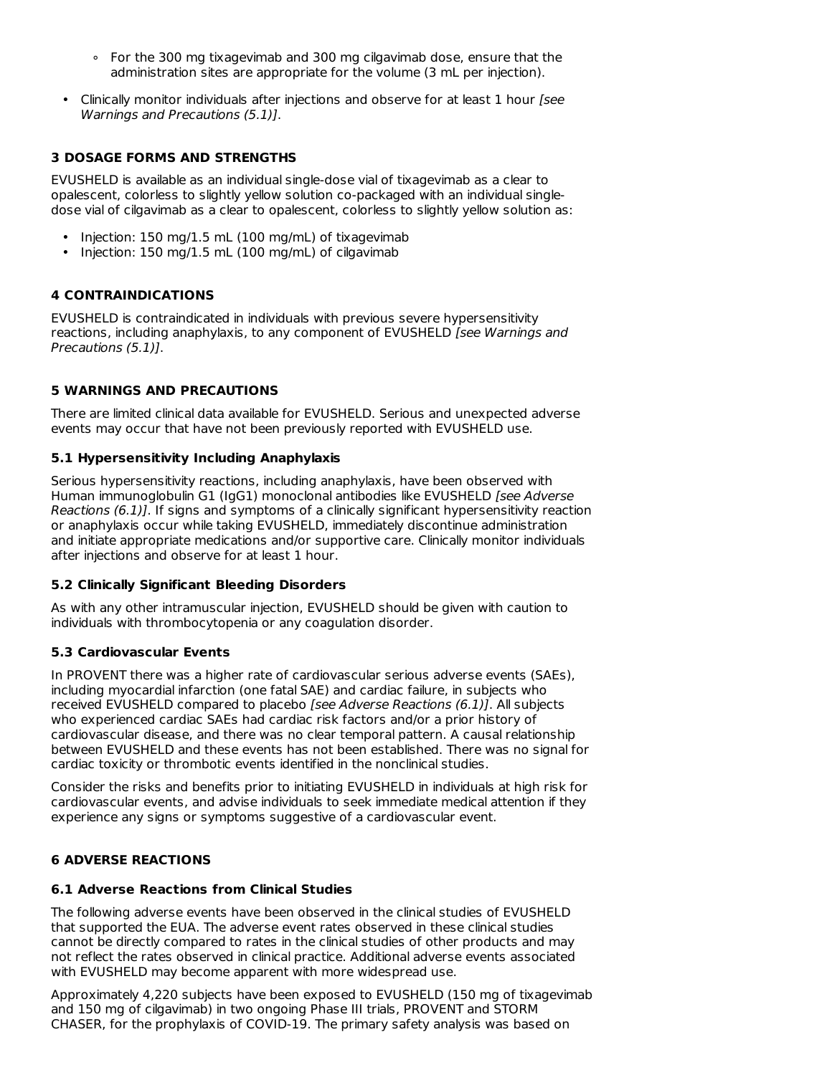- ∘ For the 300 mg tixagevimab and 300 mg cilgavimab dose, ensure that the administration sites are appropriate for the volume (3 mL per injection).
- Clinically monitor individuals after injections and observe for at least 1 hour [see Warnings and Precautions (5.1)].

### **3 DOSAGE FORMS AND STRENGTHS**

EVUSHELD is available as an individual single-dose vial of tixagevimab as a clear to opalescent, colorless to slightly yellow solution co-packaged with an individual singledose vial of cilgavimab as a clear to opalescent, colorless to slightly yellow solution as:

- Injection: 150 mg/1.5 mL (100 mg/mL) of tixagevimab
- Injection: 150 mg/1.5 mL (100 mg/mL) of cilgavimab

### **4 CONTRAINDICATIONS**

EVUSHELD is contraindicated in individuals with previous severe hypersensitivity reactions, including anaphylaxis, to any component of EVUSHELD [see Warnings and Precautions (5.1)].

### **5 WARNINGS AND PRECAUTIONS**

There are limited clinical data available for EVUSHELD. Serious and unexpected adverse events may occur that have not been previously reported with EVUSHELD use.

### **5.1 Hypersensitivity Including Anaphylaxis**

Serious hypersensitivity reactions, including anaphylaxis, have been observed with Human immunoglobulin G1 (IgG1) monoclonal antibodies like EVUSHELD [see Adverse Reactions (6.1)]. If signs and symptoms of a clinically significant hypersensitivity reaction or anaphylaxis occur while taking EVUSHELD, immediately discontinue administration and initiate appropriate medications and/or supportive care. Clinically monitor individuals after injections and observe for at least 1 hour.

### **5.2 Clinically Significant Bleeding Disorders**

As with any other intramuscular injection, EVUSHELD should be given with caution to individuals with thrombocytopenia or any coagulation disorder.

### **5.3 Cardiovascular Events**

In PROVENT there was a higher rate of cardiovascular serious adverse events (SAEs), including myocardial infarction (one fatal SAE) and cardiac failure, in subjects who received EVUSHELD compared to placebo [see Adverse Reactions (6.1)]. All subjects who experienced cardiac SAEs had cardiac risk factors and/or a prior history of cardiovascular disease, and there was no clear temporal pattern. A causal relationship between EVUSHELD and these events has not been established. There was no signal for cardiac toxicity or thrombotic events identified in the nonclinical studies.

Consider the risks and benefits prior to initiating EVUSHELD in individuals at high risk for cardiovascular events, and advise individuals to seek immediate medical attention if they experience any signs or symptoms suggestive of a cardiovascular event.

### **6 ADVERSE REACTIONS**

### **6.1 Adverse Reactions from Clinical Studies**

The following adverse events have been observed in the clinical studies of EVUSHELD that supported the EUA. The adverse event rates observed in these clinical studies cannot be directly compared to rates in the clinical studies of other products and may not reflect the rates observed in clinical practice. Additional adverse events associated with EVUSHELD may become apparent with more widespread use.

Approximately 4,220 subjects have been exposed to EVUSHELD (150 mg of tixagevimab and 150 mg of cilgavimab) in two ongoing Phase III trials, PROVENT and STORM CHASER, for the prophylaxis of COVID-19. The primary safety analysis was based on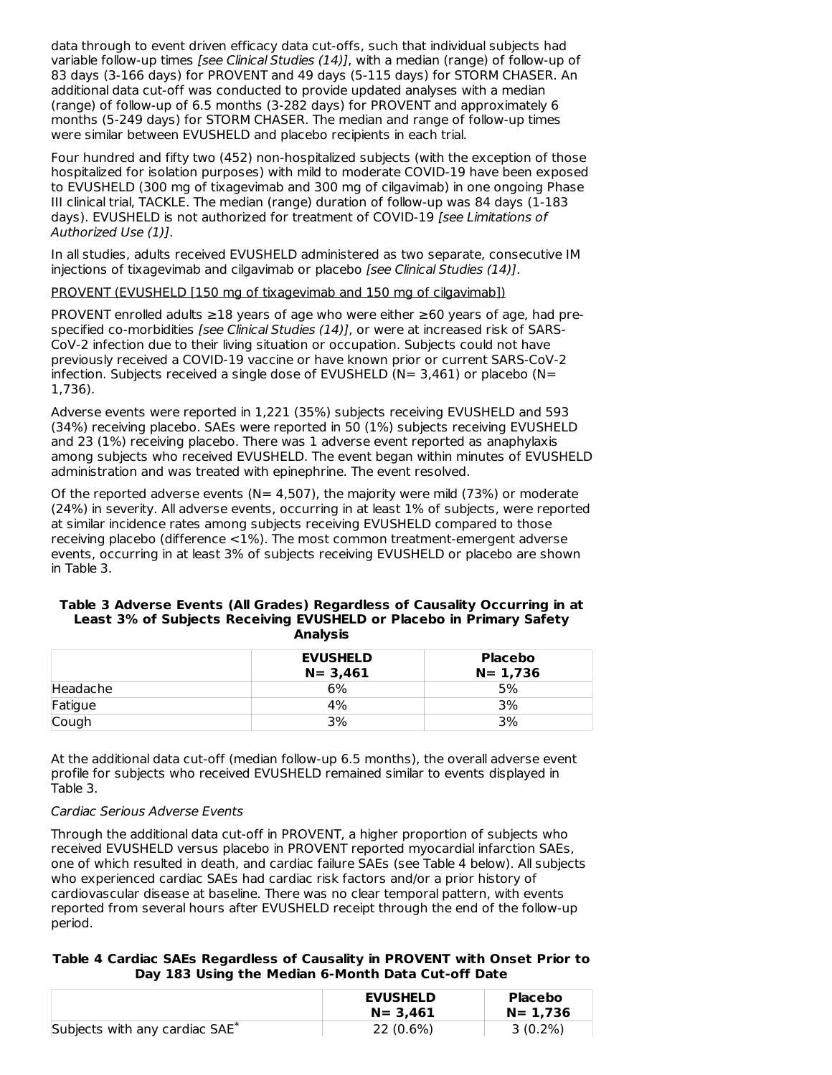data through to event driven efficacy data cut-offs, such that individual subjects had variable follow-up times [see Clinical Studies (14)], with a median (range) of follow-up of 83 days (3-166 days) for PROVENT and 49 days (5-115 days) for STORM CHASER. An additional data cut-off was conducted to provide updated analyses with a median (range) of follow-up of 6.5 months (3-282 days) for PROVENT and approximately 6 months (5-249 days) for STORM CHASER. The median and range of follow-up times were similar between EVUSHELD and placebo recipients in each trial.

Four hundred and fifty two (452) non-hospitalized subjects (with the exception of those hospitalized for isolation purposes) with mild to moderate COVID-19 have been exposed to EVUSHELD (300 mg of tixagevimab and 300 mg of cilgavimab) in one ongoing Phase III clinical trial, TACKLE. The median (range) duration of follow-up was 84 days (1-183 days). EVUSHELD is not authorized for treatment of COVID-19 [see Limitations of Authorized Use (1)].

In all studies, adults received EVUSHELD administered as two separate, consecutive IM injections of tixagevimab and cilgavimab or placebo [see Clinical Studies (14)].

### PROVENT (EVUSHELD [150 mg of tixagevimab and 150 mg of cilgavimab])

PROVENT enrolled adults ≥18 years of age who were either ≥60 years of age, had prespecified co-morbidities [see Clinical Studies (14)], or were at increased risk of SARS-CoV-2 infection due to their living situation or occupation. Subjects could not have previously received a COVID-19 vaccine or have known prior or current SARS-CoV-2 infection. Subjects received a single dose of EVUSHELD (N= 3,461) or placebo (N= 1,736).

Adverse events were reported in 1,221 (35%) subjects receiving EVUSHELD and 593 (34%) receiving placebo. SAEs were reported in 50 (1%) subjects receiving EVUSHELD and 23 (1%) receiving placebo. There was 1 adverse event reported as anaphylaxis among subjects who received EVUSHELD. The event began within minutes of EVUSHELD administration and was treated with epinephrine. The event resolved.

Of the reported adverse events ( $N= 4,507$ ), the majority were mild (73%) or moderate (24%) in severity. All adverse events, occurring in at least 1% of subjects, were reported at similar incidence rates among subjects receiving EVUSHELD compared to those receiving placebo (difference <1%). The most common treatment-emergent adverse events, occurring in at least 3% of subjects receiving EVUSHELD or placebo are shown in Table 3.

#### **Table 3 Adverse Events (All Grades) Regardless of Causality Occurring in at Least 3% of Subjects Receiving EVUSHELD or Placebo in Primary Safety Analysis**

|          | <b>EVUSHELD</b> | <b>Placebo</b> |
|----------|-----------------|----------------|
|          | $N = 3.461$     | $N = 1,736$    |
| Headache | 6%              | 5%             |
| Fatigue  | 4%              | 3%             |
| Cough    | 3%              | 3%             |

At the additional data cut-off (median follow-up 6.5 months), the overall adverse event profile for subjects who received EVUSHELD remained similar to events displayed in Table 3.

### Cardiac Serious Adverse Events

Through the additional data cut-off in PROVENT, a higher proportion of subjects who received EVUSHELD versus placebo in PROVENT reported myocardial infarction SAEs, one of which resulted in death, and cardiac failure SAEs (see Table 4 below). All subjects who experienced cardiac SAEs had cardiac risk factors and/or a prior history of cardiovascular disease at baseline. There was no clear temporal pattern, with events reported from several hours after EVUSHELD receipt through the end of the follow-up period.

### **Table 4 Cardiac SAEs Regardless of Causality in PROVENT with Onset Prior to Day 183 Using the Median 6-Month Data Cut-off Date**

|                                            | <b>EVUSHELD</b><br>N= 3.461 | Placebo<br>$N = 1.736$ |
|--------------------------------------------|-----------------------------|------------------------|
| Subjects with any cardiac SAE <sup>*</sup> | 22 (0.6%)                   | $3(0.2\%)$             |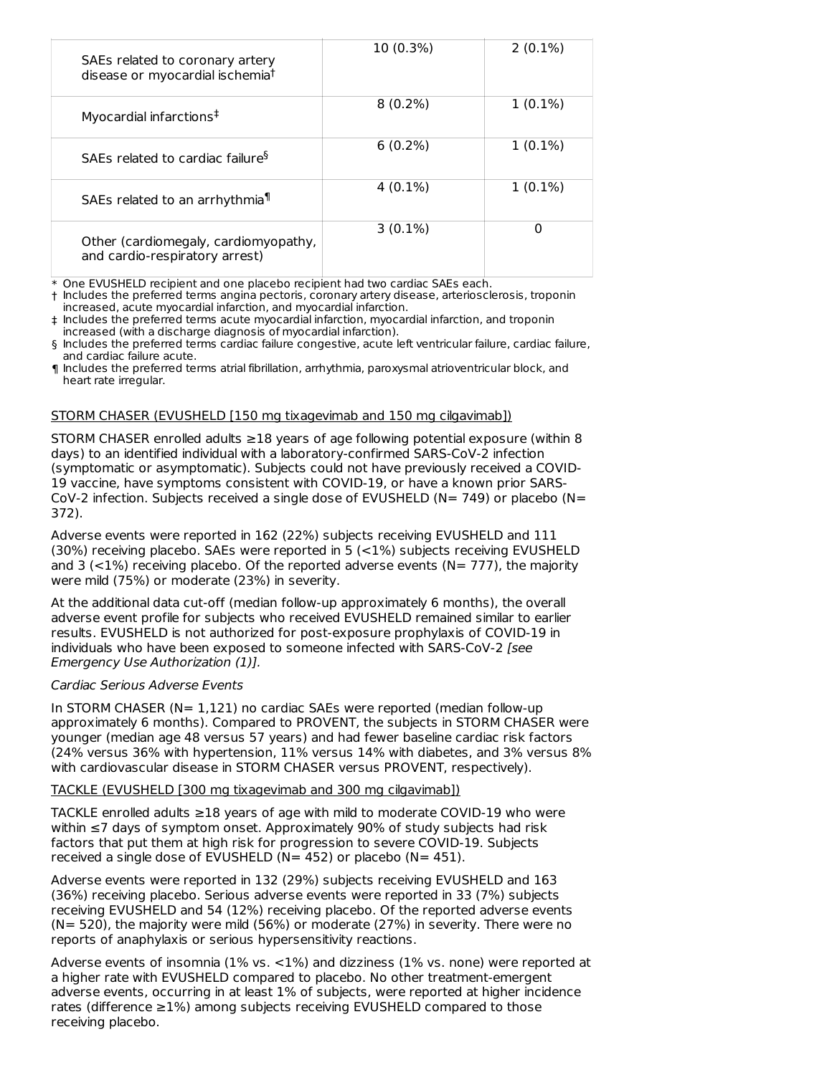| SAEs related to coronary artery<br>disease or myocardial ischemia <sup>t</sup> | 10 (0.3%)  | $2(0.1\%)$ |
|--------------------------------------------------------------------------------|------------|------------|
| Myocardial infarctions <sup>‡</sup>                                            | $8(0.2\%)$ | $1(0.1\%)$ |
| SAEs related to cardiac failure <sup>§</sup>                                   | $6(0.2\%)$ | $1(0.1\%)$ |
| SAEs related to an arrhythmia <sup>1</sup>                                     | $4(0.1\%)$ | $1(0.1\%)$ |
| Other (cardiomegaly, cardiomyopathy,<br>and cardio-respiratory arrest)         | $3(0.1\%)$ | O          |

\* One EVUSHELD recipient and one placebo recipient had two cardiac SAEs each.

† Includes the preferred terms angina pectoris, coronary artery disease, arteriosclerosis, troponin increased, acute myocardial infarction, and myocardial infarction.

‡ Includes the preferred terms acute myocardial infarction, myocardial infarction, and troponin increased (with a discharge diagnosis of myocardial infarction).

§ Includes the preferred terms cardiac failure congestive, acute left ventricular failure, cardiac failure, and cardiac failure acute.

¶ Includes the preferred terms atrial fibrillation, arrhythmia, paroxysmal atrioventricular block, and heart rate irregular.

### STORM CHASER (EVUSHELD [150 mg tixagevimab and 150 mg cilgavimab])

STORM CHASER enrolled adults ≥18 years of age following potential exposure (within 8 days) to an identified individual with a laboratory-confirmed SARS-CoV-2 infection (symptomatic or asymptomatic). Subjects could not have previously received a COVID-19 vaccine, have symptoms consistent with COVID-19, or have a known prior SARS-CoV-2 infection. Subjects received a single dose of EVUSHELD (N= 749) or placebo (N= 372).

Adverse events were reported in 162 (22%) subjects receiving EVUSHELD and 111 (30%) receiving placebo. SAEs were reported in 5 (<1%) subjects receiving EVUSHELD and 3  $\langle$  <1%) receiving placebo. Of the reported adverse events (N= 777), the majority were mild (75%) or moderate (23%) in severity.

At the additional data cut-off (median follow-up approximately 6 months), the overall adverse event profile for subjects who received EVUSHELD remained similar to earlier results. EVUSHELD is not authorized for post-exposure prophylaxis of COVID-19 in individuals who have been exposed to someone infected with SARS-CoV-2 [see Emergency Use Authorization (1)].

### Cardiac Serious Adverse Events

In STORM CHASER (N= 1,121) no cardiac SAEs were reported (median follow-up approximately 6 months). Compared to PROVENT, the subjects in STORM CHASER were younger (median age 48 versus 57 years) and had fewer baseline cardiac risk factors (24% versus 36% with hypertension, 11% versus 14% with diabetes, and 3% versus 8% with cardiovascular disease in STORM CHASER versus PROVENT, respectively).

### TACKLE (EVUSHELD [300 mg tixagevimab and 300 mg cilgavimab])

TACKLE enrolled adults ≥18 years of age with mild to moderate COVID-19 who were within ≤7 days of symptom onset. Approximately 90% of study subjects had risk factors that put them at high risk for progression to severe COVID-19. Subjects received a single dose of EVUSHELD (N= 452) or placebo (N= 451).

Adverse events were reported in 132 (29%) subjects receiving EVUSHELD and 163 (36%) receiving placebo. Serious adverse events were reported in 33 (7%) subjects receiving EVUSHELD and 54 (12%) receiving placebo. Of the reported adverse events (N= 520), the majority were mild (56%) or moderate (27%) in severity. There were no reports of anaphylaxis or serious hypersensitivity reactions.

Adverse events of insomnia (1% vs. <1%) and dizziness (1% vs. none) were reported at a higher rate with EVUSHELD compared to placebo. No other treatment-emergent adverse events, occurring in at least 1% of subjects, were reported at higher incidence rates (difference ≥1%) among subjects receiving EVUSHELD compared to those receiving placebo.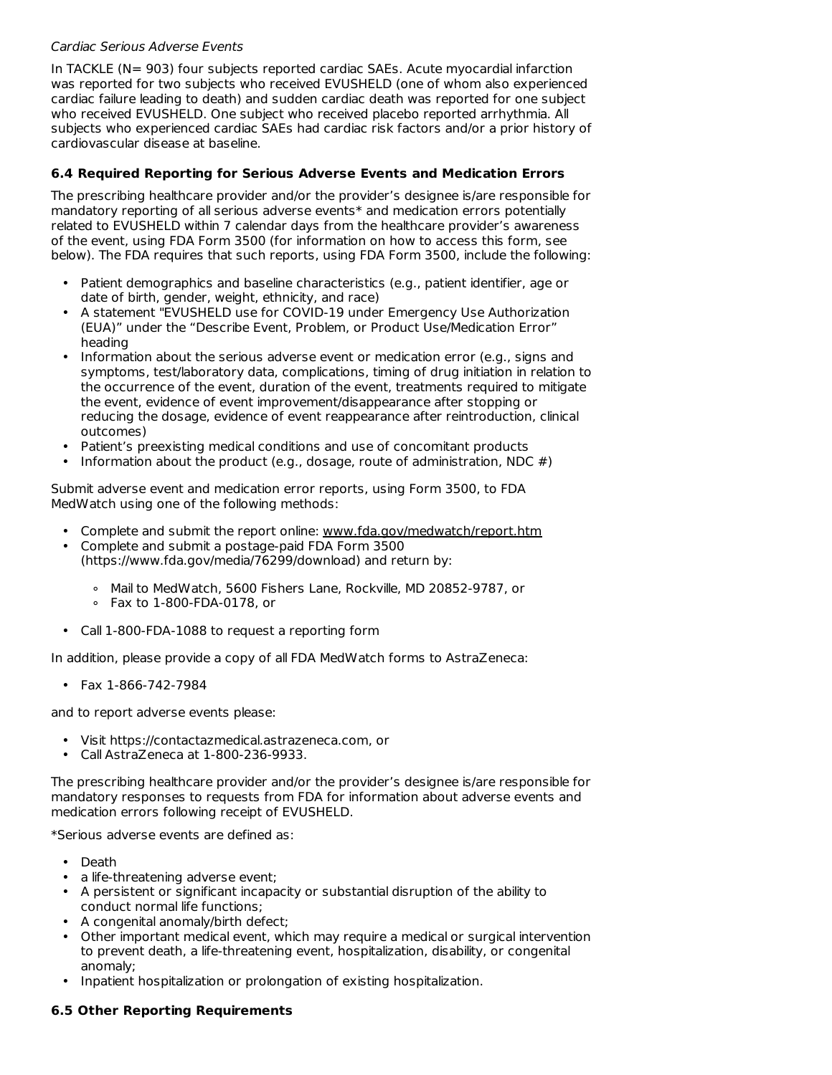### Cardiac Serious Adverse Events

In TACKLE (N= 903) four subjects reported cardiac SAEs. Acute myocardial infarction was reported for two subjects who received EVUSHELD (one of whom also experienced cardiac failure leading to death) and sudden cardiac death was reported for one subject who received EVUSHELD. One subject who received placebo reported arrhythmia. All subjects who experienced cardiac SAEs had cardiac risk factors and/or a prior history of cardiovascular disease at baseline.

## **6.4 Required Reporting for Serious Adverse Events and Medication Errors**

The prescribing healthcare provider and/or the provider's designee is/are responsible for mandatory reporting of all serious adverse events\* and medication errors potentially related to EVUSHELD within 7 calendar days from the healthcare provider's awareness of the event, using FDA Form 3500 (for information on how to access this form, see below). The FDA requires that such reports, using FDA Form 3500, include the following:

- Patient demographics and baseline characteristics (e.g., patient identifier, age or date of birth, gender, weight, ethnicity, and race)
- A statement "EVUSHELD use for COVID-19 under Emergency Use Authorization (EUA)" under the "Describe Event, Problem, or Product Use/Medication Error" heading
- Information about the serious adverse event or medication error (e.g., signs and symptoms, test/laboratory data, complications, timing of drug initiation in relation to the occurrence of the event, duration of the event, treatments required to mitigate the event, evidence of event improvement/disappearance after stopping or reducing the dosage, evidence of event reappearance after reintroduction, clinical outcomes)
- Patient's preexisting medical conditions and use of concomitant products
- Information about the product (e.g., dosage, route of administration, NDC #)

Submit adverse event and medication error reports, using Form 3500, to FDA MedWatch using one of the following methods:

- Complete and submit the report online: www.fda.gov/medwatch/report.htm
- Complete and submit a postage-paid FDA Form 3500 (https://www.fda.gov/media/76299/download) and return by:
	- ∘ Mail to MedWatch, 5600 Fishers Lane, Rockville, MD 20852-9787, or
	- ∘ Fax to 1-800-FDA-0178, or
- Call 1-800-FDA-1088 to request a reporting form

In addition, please provide a copy of all FDA MedWatch forms to AstraZeneca:

• Fax 1-866-742-7984

and to report adverse events please:

- Visit https://contactazmedical.astrazeneca.com, or
- Call AstraZeneca at 1-800-236-9933.

The prescribing healthcare provider and/or the provider's designee is/are responsible for mandatory responses to requests from FDA for information about adverse events and medication errors following receipt of EVUSHELD.

\*Serious adverse events are defined as:

- Death
- a life-threatening adverse event;
- A persistent or significant incapacity or substantial disruption of the ability to conduct normal life functions;
- A congenital anomaly/birth defect;
- Other important medical event, which may require a medical or surgical intervention to prevent death, a life-threatening event, hospitalization, disability, or congenital anomaly;
- Inpatient hospitalization or prolongation of existing hospitalization.

### **6.5 Other Reporting Requirements**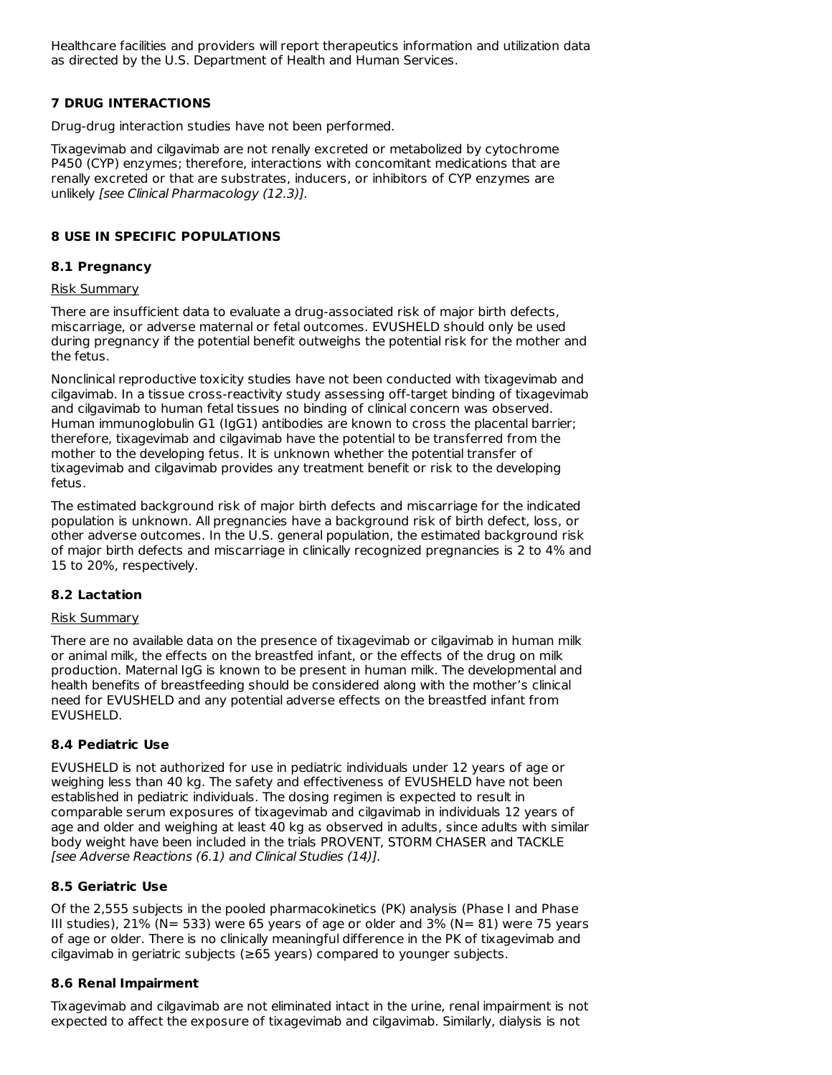Healthcare facilities and providers will report therapeutics information and utilization data as directed by the U.S. Department of Health and Human Services.

### **7 DRUG INTERACTIONS**

Drug-drug interaction studies have not been performed.

Tixagevimab and cilgavimab are not renally excreted or metabolized by cytochrome P450 (CYP) enzymes; therefore, interactions with concomitant medications that are renally excreted or that are substrates, inducers, or inhibitors of CYP enzymes are unlikely [see Clinical Pharmacology (12.3)].

### **8 USE IN SPECIFIC POPULATIONS**

### **8.1 Pregnancy**

Risk Summary

There are insufficient data to evaluate a drug-associated risk of major birth defects, miscarriage, or adverse maternal or fetal outcomes. EVUSHELD should only be used during pregnancy if the potential benefit outweighs the potential risk for the mother and the fetus.

Nonclinical reproductive toxicity studies have not been conducted with tixagevimab and cilgavimab. In a tissue cross-reactivity study assessing off-target binding of tixagevimab and cilgavimab to human fetal tissues no binding of clinical concern was observed. Human immunoglobulin G1 (IgG1) antibodies are known to cross the placental barrier; therefore, tixagevimab and cilgavimab have the potential to be transferred from the mother to the developing fetus. It is unknown whether the potential transfer of tixagevimab and cilgavimab provides any treatment benefit or risk to the developing fetus.

The estimated background risk of major birth defects and miscarriage for the indicated population is unknown. All pregnancies have a background risk of birth defect, loss, or other adverse outcomes. In the U.S. general population, the estimated background risk of major birth defects and miscarriage in clinically recognized pregnancies is 2 to 4% and 15 to 20%, respectively.

### **8.2 Lactation**

#### Risk Summary

There are no available data on the presence of tixagevimab or cilgavimab in human milk or animal milk, the effects on the breastfed infant, or the effects of the drug on milk production. Maternal IgG is known to be present in human milk. The developmental and health benefits of breastfeeding should be considered along with the mother's clinical need for EVUSHELD and any potential adverse effects on the breastfed infant from EVUSHELD.

### **8.4 Pediatric Use**

EVUSHELD is not authorized for use in pediatric individuals under 12 years of age or weighing less than 40 kg. The safety and effectiveness of EVUSHELD have not been established in pediatric individuals. The dosing regimen is expected to result in comparable serum exposures of tixagevimab and cilgavimab in individuals 12 years of age and older and weighing at least 40 kg as observed in adults, since adults with similar body weight have been included in the trials PROVENT, STORM CHASER and TACKLE [see Adverse Reactions (6.1) and Clinical Studies (14)].

### **8.5 Geriatric Use**

Of the 2,555 subjects in the pooled pharmacokinetics (PK) analysis (Phase I and Phase III studies), 21% ( $N = 533$ ) were 65 years of age or older and 3% ( $N = 81$ ) were 75 years of age or older. There is no clinically meaningful difference in the PK of tixagevimab and cilgavimab in geriatric subjects (≥65 years) compared to younger subjects.

### **8.6 Renal Impairment**

Tixagevimab and cilgavimab are not eliminated intact in the urine, renal impairment is not expected to affect the exposure of tixagevimab and cilgavimab. Similarly, dialysis is not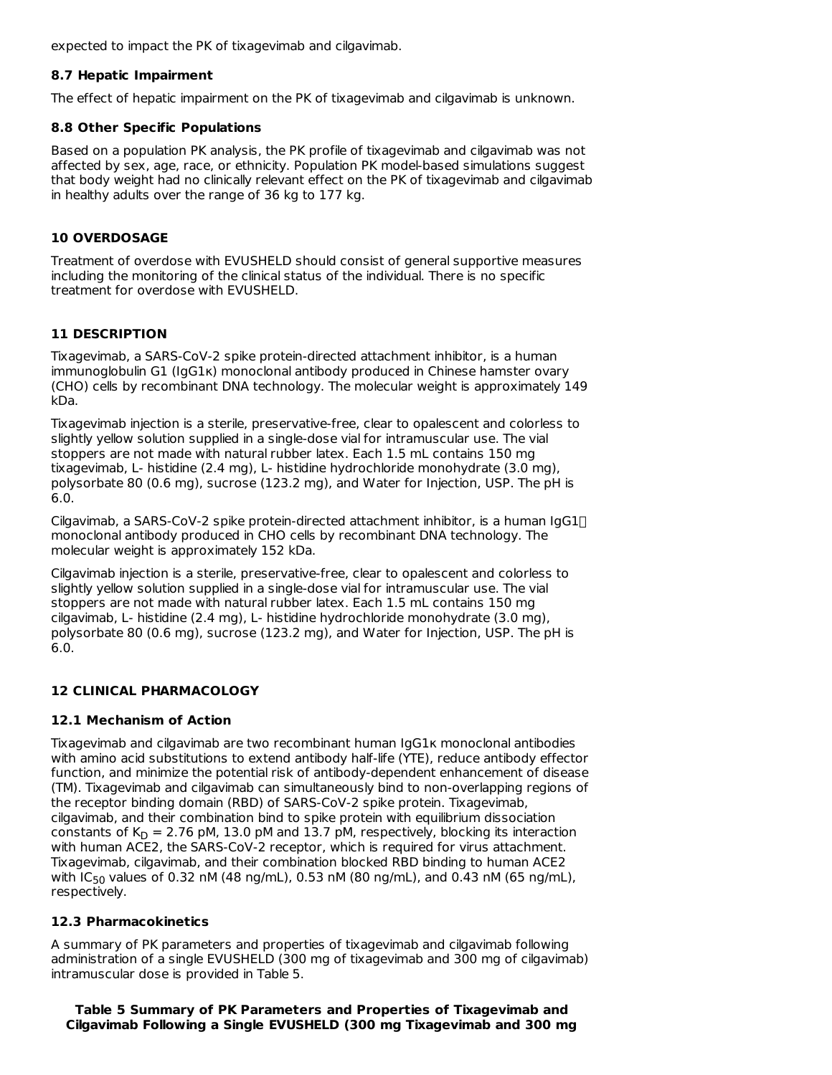expected to impact the PK of tixagevimab and cilgavimab.

### **8.7 Hepatic Impairment**

The effect of hepatic impairment on the PK of tixagevimab and cilgavimab is unknown.

### **8.8 Other Specific Populations**

Based on a population PK analysis, the PK profile of tixagevimab and cilgavimab was not affected by sex, age, race, or ethnicity. Population PK model-based simulations suggest that body weight had no clinically relevant effect on the PK of tixagevimab and cilgavimab in healthy adults over the range of 36 kg to 177 kg.

### **10 OVERDOSAGE**

Treatment of overdose with EVUSHELD should consist of general supportive measures including the monitoring of the clinical status of the individual. There is no specific treatment for overdose with EVUSHELD.

# **11 DESCRIPTION**

Tixagevimab, a SARS-CoV-2 spike protein-directed attachment inhibitor, is a human immunoglobulin G1 (IgG1κ) monoclonal antibody produced in Chinese hamster ovary (CHO) cells by recombinant DNA technology. The molecular weight is approximately 149 kDa.

Tixagevimab injection is a sterile, preservative-free, clear to opalescent and colorless to slightly yellow solution supplied in a single-dose vial for intramuscular use. The vial stoppers are not made with natural rubber latex. Each 1.5 mL contains 150 mg tixagevimab, L- histidine (2.4 mg), L- histidine hydrochloride monohydrate (3.0 mg), polysorbate 80 (0.6 mg), sucrose (123.2 mg), and Water for Injection, USP. The pH is 6.0.

Cilgavimab, a SARS-CoV-2 spike protein-directed attachment inhibitor, is a human IgG $1\Box$ monoclonal antibody produced in CHO cells by recombinant DNA technology. The molecular weight is approximately 152 kDa.

Cilgavimab injection is a sterile, preservative-free, clear to opalescent and colorless to slightly yellow solution supplied in a single-dose vial for intramuscular use. The vial stoppers are not made with natural rubber latex. Each 1.5 mL contains 150 mg cilgavimab, L- histidine (2.4 mg), L- histidine hydrochloride monohydrate (3.0 mg), polysorbate 80 (0.6 mg), sucrose (123.2 mg), and Water for Injection, USP. The pH is 6.0.

# **12 CLINICAL PHARMACOLOGY**

# **12.1 Mechanism of Action**

Tixagevimab and cilgavimab are two recombinant human IgG1κ monoclonal antibodies with amino acid substitutions to extend antibody half-life (YTE), reduce antibody effector function, and minimize the potential risk of antibody-dependent enhancement of disease (TM). Tixagevimab and cilgavimab can simultaneously bind to non-overlapping regions of the receptor binding domain (RBD) of SARS-CoV-2 spike protein. Tixagevimab, cilgavimab, and their combination bind to spike protein with equilibrium dissociation constants of K<sub>D</sub> = 2.76 pM, 13.0 pM and 13.7 pM, respectively, blocking its interaction with human ACE2, the SARS-CoV-2 receptor, which is required for virus attachment. Tixagevimab, cilgavimab, and their combination blocked RBD binding to human ACE2 with IC<sub>50</sub> values of 0.32 nM (48 ng/mL), 0.53 nM (80 ng/mL), and 0.43 nM (65 ng/mL), respectively.

# **12.3 Pharmacokinetics**

A summary of PK parameters and properties of tixagevimab and cilgavimab following administration of a single EVUSHELD (300 mg of tixagevimab and 300 mg of cilgavimab) intramuscular dose is provided in Table 5.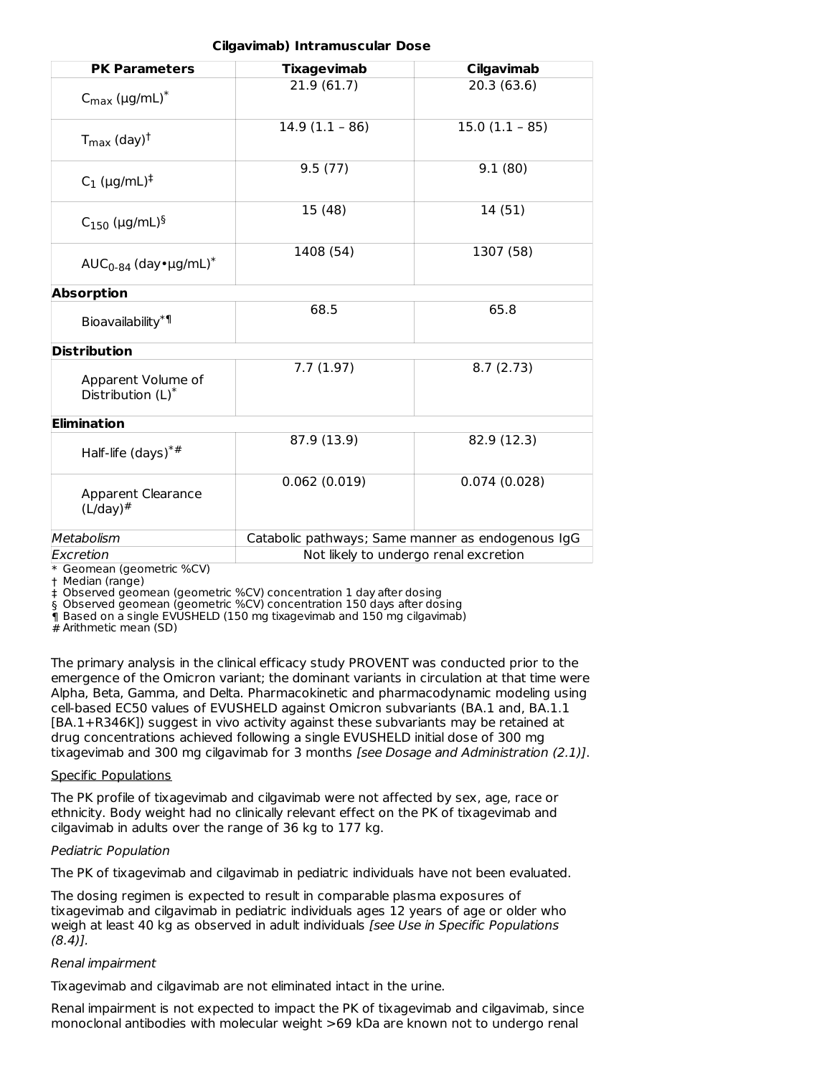### **Cilgavimab) Intramuscular Dose**

| <b>PK Parameters</b>                                    | <b>Tixagevimab</b>                                | Cilgavimab       |  |
|---------------------------------------------------------|---------------------------------------------------|------------------|--|
| $C_{\text{max}}$ (µg/mL) <sup>*</sup>                   | 21.9(61.7)                                        | 20.3(63.6)       |  |
| $T_{\text{max}}$ (day) <sup>†</sup>                     | $14.9(1.1 - 86)$                                  | $15.0(1.1 - 85)$ |  |
| $C_1$ (µg/mL) <sup>‡</sup>                              | 9.5(77)                                           | 9.1(80)          |  |
| $C_{150}$ (µg/mL) <sup>§</sup>                          | 15 (48)                                           | 14(51)           |  |
| AUC <sub>0-84</sub> (day $\cdot \mu$ g/mL) <sup>*</sup> | 1408 (54)                                         | 1307 (58)        |  |
| <b>Absorption</b>                                       |                                                   |                  |  |
| Bioavailability <sup>*</sup>                            | 68.5                                              | 65.8             |  |
| <b>Distribution</b>                                     |                                                   |                  |  |
| Apparent Volume of<br>Distribution (L)*                 | 7.7(1.97)                                         | 8.7(2.73)        |  |
| <b>Elimination</b>                                      |                                                   |                  |  |
| Half-life $(days)*#$                                    | 87.9 (13.9)                                       | 82.9 (12.3)      |  |
| Apparent Clearance<br>$(L/day)^{\#}$                    | 0.062(0.019)                                      | 0.074(0.028)     |  |
| Metabolism                                              | Catabolic pathways; Same manner as endogenous IgG |                  |  |
| Excretion                                               | Not likely to undergo renal excretion             |                  |  |

\* Geomean (geometric %CV)

† Median (range)

‡ Observed geomean (geometric %CV) concentration 1 day after dosing

§ Observed geomean (geometric %CV) concentration 150 days after dosing

¶ Based on a single EVUSHELD (150 mg tixagevimab and 150 mg cilgavimab)

# Arithmetic mean (SD)

The primary analysis in the clinical efficacy study PROVENT was conducted prior to the emergence of the Omicron variant; the dominant variants in circulation at that time were Alpha, Beta, Gamma, and Delta. Pharmacokinetic and pharmacodynamic modeling using cell-based EC50 values of EVUSHELD against Omicron subvariants (BA.1 and, BA.1.1 [BA.1+R346K]) suggest in vivo activity against these subvariants may be retained at drug concentrations achieved following a single EVUSHELD initial dose of 300 mg tixagevimab and 300 mg cilgavimab for 3 months [see Dosage and Administration (2.1)].

### Specific Populations

The PK profile of tixagevimab and cilgavimab were not affected by sex, age, race or ethnicity. Body weight had no clinically relevant effect on the PK of tixagevimab and cilgavimab in adults over the range of 36 kg to 177 kg.

### Pediatric Population

The PK of tixagevimab and cilgavimab in pediatric individuals have not been evaluated.

The dosing regimen is expected to result in comparable plasma exposures of tixagevimab and cilgavimab in pediatric individuals ages 12 years of age or older who weigh at least 40 kg as observed in adult individuals [see Use in Specific Populations  $(8.4)$ .

#### Renal impairment

Tixagevimab and cilgavimab are not eliminated intact in the urine.

Renal impairment is not expected to impact the PK of tixagevimab and cilgavimab, since monoclonal antibodies with molecular weight >69 kDa are known not to undergo renal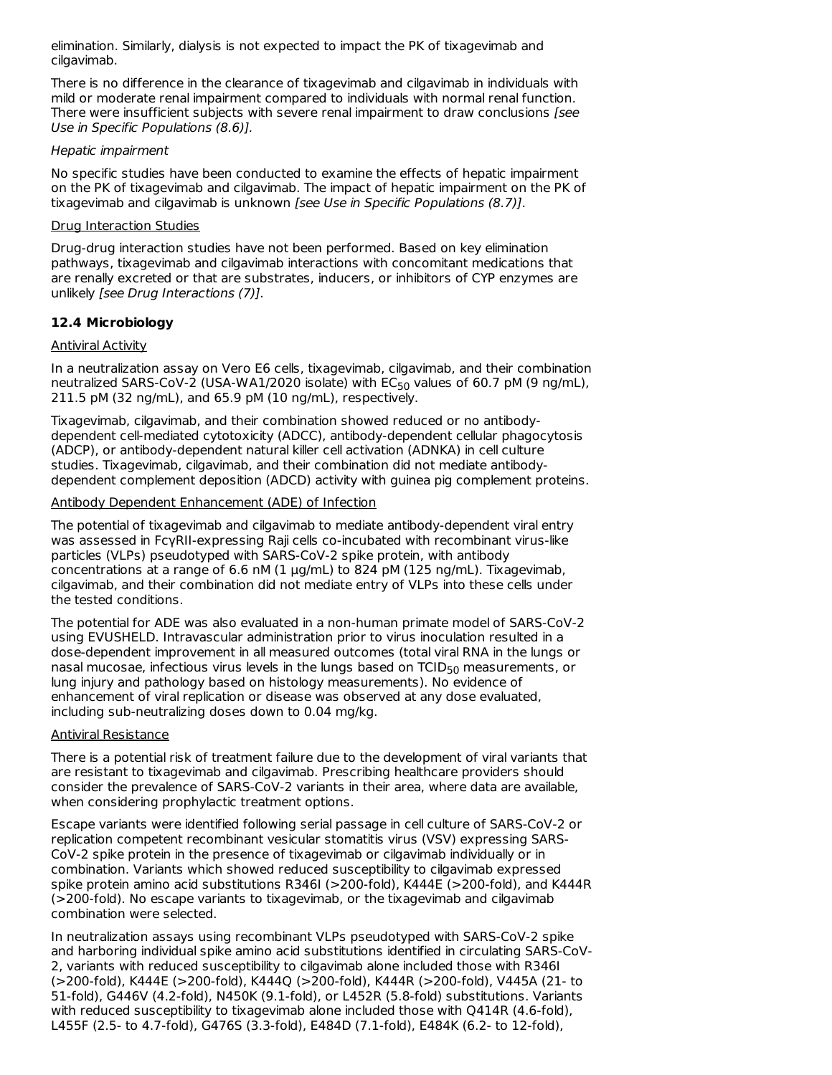elimination. Similarly, dialysis is not expected to impact the PK of tixagevimab and cilgavimab.

There is no difference in the clearance of tixagevimab and cilgavimab in individuals with mild or moderate renal impairment compared to individuals with normal renal function. There were insufficient subjects with severe renal impairment to draw conclusions [see Use in Specific Populations (8.6)].

### Hepatic impairment

No specific studies have been conducted to examine the effects of hepatic impairment on the PK of tixagevimab and cilgavimab. The impact of hepatic impairment on the PK of tixagevimab and cilgavimab is unknown [see Use in Specific Populations (8.7)].

### Drug Interaction Studies

Drug-drug interaction studies have not been performed. Based on key elimination pathways, tixagevimab and cilgavimab interactions with concomitant medications that are renally excreted or that are substrates, inducers, or inhibitors of CYP enzymes are unlikely [see Drug Interactions (7)].

### **12.4 Microbiology**

### Antiviral Activity

In a neutralization assay on Vero E6 cells, tixagevimab, cilgavimab, and their combination neutralized SARS-CoV-2 (USA-WA1/2020 isolate) with  $\mathsf{EC}_{50}$  values of 60.7 pM (9 ng/mL), 211.5 pM (32 ng/mL), and 65.9 pM (10 ng/mL), respectively.

Tixagevimab, cilgavimab, and their combination showed reduced or no antibodydependent cell-mediated cytotoxicity (ADCC), antibody-dependent cellular phagocytosis (ADCP), or antibody-dependent natural killer cell activation (ADNKA) in cell culture studies. Tixagevimab, cilgavimab, and their combination did not mediate antibodydependent complement deposition (ADCD) activity with guinea pig complement proteins.

### Antibody Dependent Enhancement (ADE) of Infection

The potential of tixagevimab and cilgavimab to mediate antibody-dependent viral entry was assessed in FcγRII-expressing Raji cells co-incubated with recombinant virus-like particles (VLPs) pseudotyped with SARS-CoV-2 spike protein, with antibody concentrations at a range of 6.6 nM (1 µg/mL) to 824 pM (125 ng/mL). Tixagevimab, cilgavimab, and their combination did not mediate entry of VLPs into these cells under the tested conditions.

The potential for ADE was also evaluated in a non-human primate model of SARS-CoV-2 using EVUSHELD. Intravascular administration prior to virus inoculation resulted in a dose-dependent improvement in all measured outcomes (total viral RNA in the lungs or nasal mucosae, infectious virus levels in the lungs based on  $\mathsf{TCID}_{50}$  measurements, or lung injury and pathology based on histology measurements). No evidence of enhancement of viral replication or disease was observed at any dose evaluated, including sub-neutralizing doses down to 0.04 mg/kg.

### Antiviral Resistance

There is a potential risk of treatment failure due to the development of viral variants that are resistant to tixagevimab and cilgavimab. Prescribing healthcare providers should consider the prevalence of SARS-CoV-2 variants in their area, where data are available, when considering prophylactic treatment options.

Escape variants were identified following serial passage in cell culture of SARS-CoV-2 or replication competent recombinant vesicular stomatitis virus (VSV) expressing SARS-CoV-2 spike protein in the presence of tixagevimab or cilgavimab individually or in combination. Variants which showed reduced susceptibility to cilgavimab expressed spike protein amino acid substitutions R346I (>200-fold), K444E (>200-fold), and K444R (>200-fold). No escape variants to tixagevimab, or the tixagevimab and cilgavimab combination were selected.

In neutralization assays using recombinant VLPs pseudotyped with SARS-CoV-2 spike and harboring individual spike amino acid substitutions identified in circulating SARS-CoV-2, variants with reduced susceptibility to cilgavimab alone included those with R346I (>200-fold), K444E (>200-fold), K444Q (>200-fold), K444R (>200-fold), V445A (21- to 51-fold), G446V (4.2-fold), N450K (9.1-fold), or L452R (5.8-fold) substitutions. Variants with reduced susceptibility to tixagevimab alone included those with Q414R (4.6-fold), L455F (2.5- to 4.7-fold), G476S (3.3-fold), E484D (7.1-fold), E484K (6.2- to 12-fold),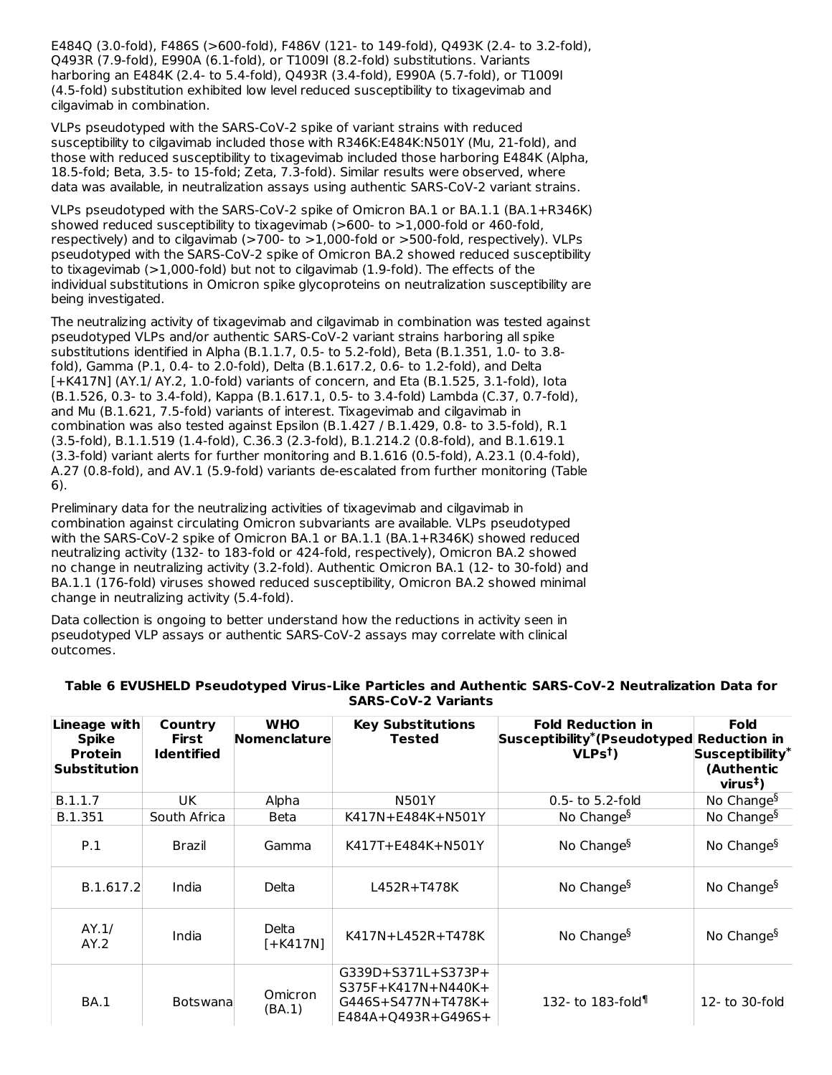E484Q (3.0-fold), F486S (>600-fold), F486V (121- to 149-fold), Q493K (2.4- to 3.2-fold), Q493R (7.9-fold), E990A (6.1-fold), or T1009I (8.2-fold) substitutions. Variants harboring an E484K (2.4- to 5.4-fold), Q493R (3.4-fold), E990A (5.7-fold), or T1009I (4.5-fold) substitution exhibited low level reduced susceptibility to tixagevimab and cilgavimab in combination.

VLPs pseudotyped with the SARS-CoV-2 spike of variant strains with reduced susceptibility to cilgavimab included those with R346K:E484K:N501Y (Mu, 21-fold), and those with reduced susceptibility to tixagevimab included those harboring E484K (Alpha, 18.5-fold; Beta, 3.5- to 15-fold; Zeta, 7.3-fold). Similar results were observed, where data was available, in neutralization assays using authentic SARS-CoV-2 variant strains.

VLPs pseudotyped with the SARS-CoV-2 spike of Omicron BA.1 or BA.1.1 (BA.1+R346K) showed reduced susceptibility to tixagevimab  $(>600$ - to  $>1,000$ -fold or 460-fold, respectively) and to cilgavimab (>700- to >1,000-fold or >500-fold, respectively). VLPs pseudotyped with the SARS-CoV-2 spike of Omicron BA.2 showed reduced susceptibility to tixagevimab (>1,000-fold) but not to cilgavimab (1.9-fold). The effects of the individual substitutions in Omicron spike glycoproteins on neutralization susceptibility are being investigated.

The neutralizing activity of tixagevimab and cilgavimab in combination was tested against pseudotyped VLPs and/or authentic SARS-CoV-2 variant strains harboring all spike substitutions identified in Alpha (B.1.1.7, 0.5- to 5.2-fold), Beta (B.1.351, 1.0- to 3.8 fold), Gamma (P.1, 0.4- to 2.0-fold), Delta (B.1.617.2, 0.6- to 1.2-fold), and Delta [+K417N] (AY.1/ AY.2, 1.0-fold) variants of concern, and Eta (B.1.525, 3.1-fold), Iota (B.1.526, 0.3- to 3.4-fold), Kappa (B.1.617.1, 0.5- to 3.4-fold) Lambda (C.37, 0.7-fold), and Mu (B.1.621, 7.5-fold) variants of interest. Tixagevimab and cilgavimab in combination was also tested against Epsilon (B.1.427 / B.1.429, 0.8- to 3.5-fold), R.1 (3.5-fold), B.1.1.519 (1.4-fold), C.36.3 (2.3-fold), B.1.214.2 (0.8-fold), and B.1.619.1 (3.3-fold) variant alerts for further monitoring and B.1.616 (0.5-fold), A.23.1 (0.4-fold), A.27 (0.8-fold), and AV.1 (5.9-fold) variants de-escalated from further monitoring (Table 6).

Preliminary data for the neutralizing activities of tixagevimab and cilgavimab in combination against circulating Omicron subvariants are available. VLPs pseudotyped with the SARS-CoV-2 spike of Omicron BA.1 or BA.1.1 (BA.1+R346K) showed reduced neutralizing activity (132- to 183-fold or 424-fold, respectively), Omicron BA.2 showed no change in neutralizing activity (3.2-fold). Authentic Omicron BA.1 (12- to 30-fold) and BA.1.1 (176-fold) viruses showed reduced susceptibility, Omicron BA.2 showed minimal change in neutralizing activity (5.4-fold).

Data collection is ongoing to better understand how the reductions in activity seen in pseudotyped VLP assays or authentic SARS-CoV-2 assays may correlate with clinical outcomes.

| Lineage with<br><b>Spike</b><br><b>Protein</b><br><b>Substitution</b> | Country<br>First<br><b>Identified</b> | <b>WHO</b><br><b>Nomenclature</b> | <b>Key Substitutions</b><br><b>Tested</b>                                            | <b>Fold Reduction in</b><br>Susceptibility*(Pseudotyped Reduction in<br>VLPs <sup>†</sup> | <b>Fold</b><br>Susceptibility <sup>*</sup><br>(Authentic<br>$v$ irus $‡$ ) |
|-----------------------------------------------------------------------|---------------------------------------|-----------------------------------|--------------------------------------------------------------------------------------|-------------------------------------------------------------------------------------------|----------------------------------------------------------------------------|
| B.1.1.7                                                               | UK                                    | Alpha                             | N501Y                                                                                | $0.5 -$ to 5.2-fold                                                                       | No Change <sup>§</sup>                                                     |
| B.1.351                                                               | South Africa                          | <b>Beta</b>                       | K417N+E484K+N501Y                                                                    | No Change $\frac{5}{3}$                                                                   | No Change <sup>§</sup>                                                     |
| P.1                                                                   | Brazil                                | Gamma                             | K417T+E484K+N501Y                                                                    | No Change <sup>§</sup>                                                                    | No Change <sup>§</sup>                                                     |
| B.1.617.2                                                             | India                                 | Delta                             | L452R+T478K                                                                          | No Change <sup>§</sup>                                                                    | No Change <sup>§</sup>                                                     |
| AY.1/<br>AY.2                                                         | India                                 | Delta<br>[+K417N]                 | K417N+L452R+T478K                                                                    | No Change $\delta$                                                                        | No Change $\delta$                                                         |
| <b>BA.1</b>                                                           | <b>Botswana</b>                       | Omicron<br>(BA.1)                 | G339D+S371L+S373P+<br>S375F+K417N+N440K+<br>G446S+S477N+T478K+<br>E484A+Q493R+G496S+ | 132- to 183-fold $\P$                                                                     | 12- to 30-fold                                                             |

### **Table 6 EVUSHELD Pseudotyped Virus-Like Particles and Authentic SARS-CoV-2 Neutralization Data for SARS-CoV-2 Variants**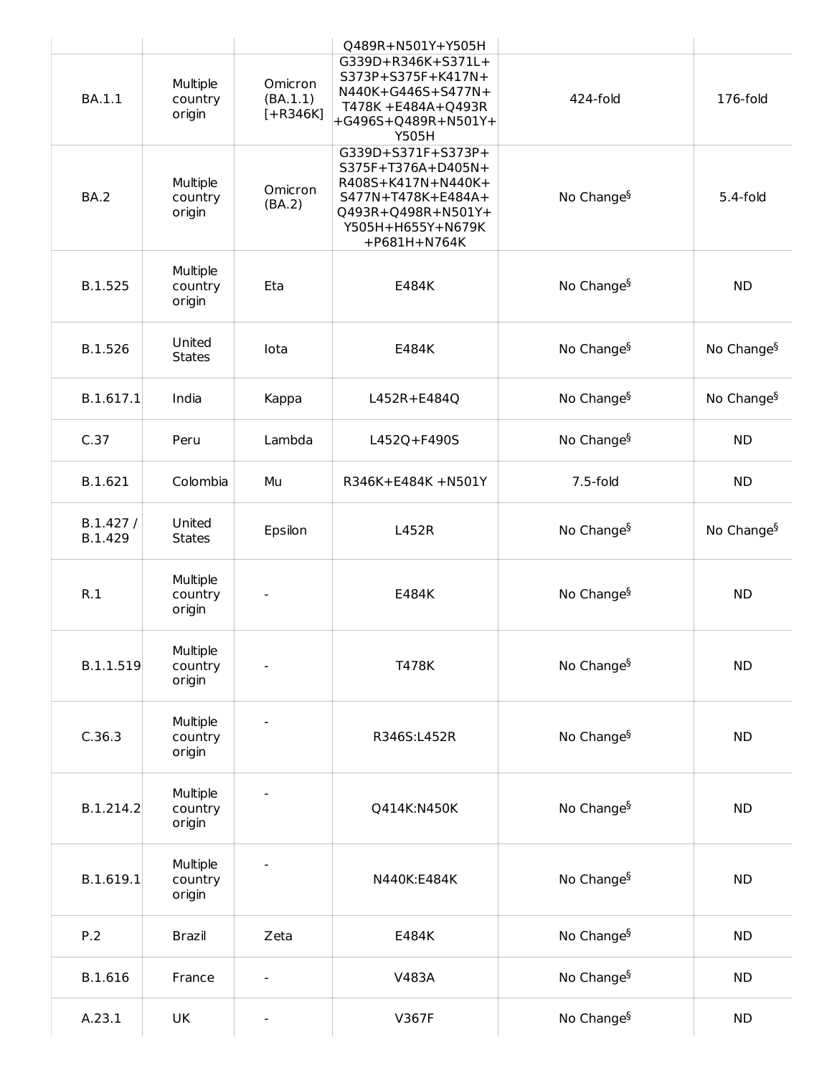| <b>BA.1.1</b>       | Multiple<br>country<br>origin | Omicron<br>(BA.1.1)<br>$[+R346K]$ | Q489R+N501Y+Y505H<br>G339D+R346K+S371L+<br>S373P+S375F+K417N+<br>N440K+G446S+S477N+<br>T478K +E484A+Q493R<br>+G496S+Q489R+N501Y+<br><b>Y505H</b> | 424-fold               | 176-fold               |
|---------------------|-------------------------------|-----------------------------------|--------------------------------------------------------------------------------------------------------------------------------------------------|------------------------|------------------------|
| <b>BA.2</b>         | Multiple<br>country<br>origin | Omicron<br>(BA.2)                 | G339D+S371F+S373P+<br>S375F+T376A+D405N+<br>R408S+K417N+N440K+<br>S477N+T478K+E484A+<br>Q493R+Q498R+N501Y+<br>Y505H+H655Y+N679K<br>+P681H+N764K  | No Change <sup>§</sup> | 5.4-fold               |
| B.1.525             | Multiple<br>country<br>origin | Eta                               | E484K                                                                                                                                            | No Change <sup>§</sup> | <b>ND</b>              |
| B.1.526             | United<br><b>States</b>       | lota                              | E484K                                                                                                                                            | No Change <sup>§</sup> | No Change <sup>§</sup> |
| B.1.617.1           | India                         | Kappa                             | L452R+E484Q                                                                                                                                      | No Change <sup>§</sup> | No Change <sup>§</sup> |
| C.37                | Peru                          | Lambda                            | L452Q+F490S                                                                                                                                      | No Change <sup>§</sup> | <b>ND</b>              |
| B.1.621             | Colombia                      | Mu                                | R346K+E484K +N501Y                                                                                                                               | 7.5-fold               | <b>ND</b>              |
| B.1.427/<br>B.1.429 | United<br><b>States</b>       | Epsilon                           | L452R                                                                                                                                            | No Change <sup>§</sup> | No Change <sup>§</sup> |
| R.1                 | Multiple<br>country<br>origin |                                   | E484K                                                                                                                                            | No Change <sup>§</sup> | <b>ND</b>              |
| B.1.1.519           | Multiple<br>country<br>origin |                                   | T478K                                                                                                                                            | No Change <sup>§</sup> | <b>ND</b>              |
| C.36.3              | Multiple<br>country<br>origin |                                   | R346S:L452R                                                                                                                                      | No Change <sup>§</sup> | <b>ND</b>              |
| B.1.214.2           | Multiple<br>country<br>origin |                                   | Q414K:N450K                                                                                                                                      | No Change <sup>§</sup> | <b>ND</b>              |
| B.1.619.1           | Multiple<br>country<br>origin |                                   | N440K:E484K                                                                                                                                      | No Change <sup>§</sup> | <b>ND</b>              |
| P.2                 | <b>Brazil</b>                 | Zeta                              | E484K                                                                                                                                            | No Change <sup>§</sup> | <b>ND</b>              |
| B.1.616             | France                        |                                   | V483A                                                                                                                                            | No Change <sup>§</sup> | <b>ND</b>              |
| A.23.1              | UK                            |                                   | V367F                                                                                                                                            | No Change <sup>§</sup> | <b>ND</b>              |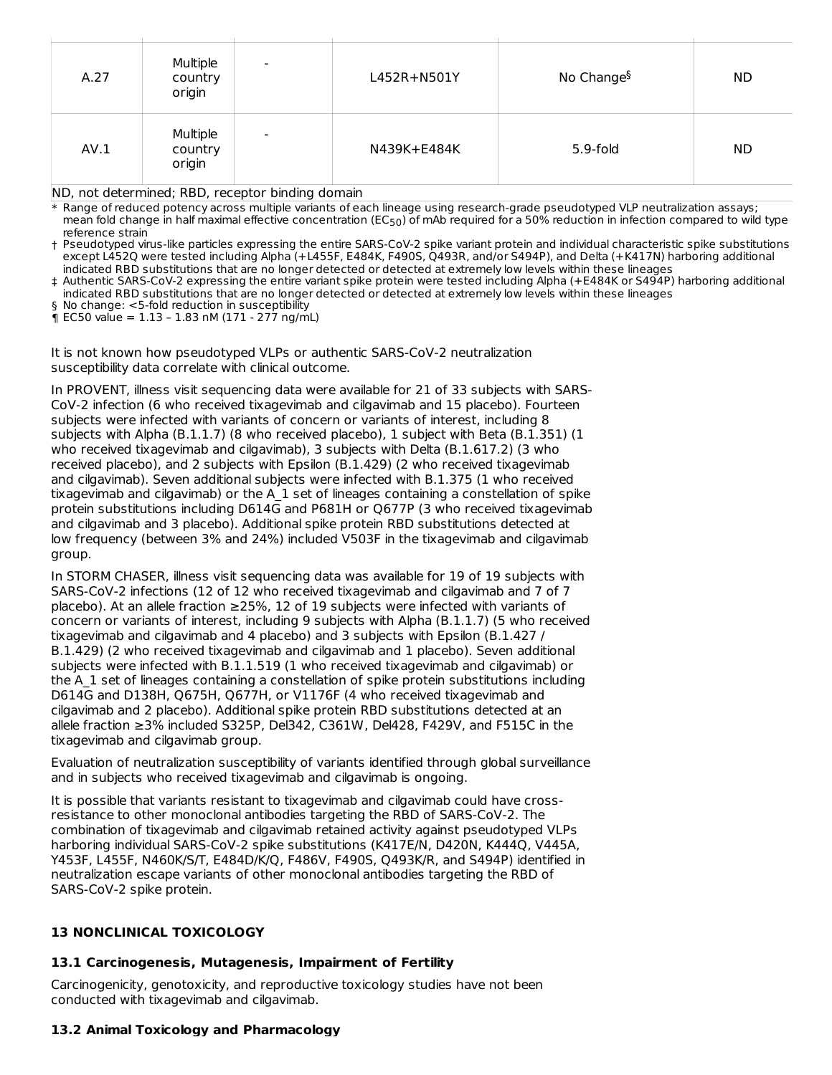| A.27                                             | Multiple<br>country<br>origin | ۰ | L452R+N501Y | No Change <sup>§</sup> | <b>ND</b> |
|--------------------------------------------------|-------------------------------|---|-------------|------------------------|-----------|
| AV.1                                             | Multiple<br>country<br>origin | - | N439K+E484K | 5.9-fold               | <b>ND</b> |
| ND, not determined; RBD, receptor binding domain |                               |   |             |                        |           |

\* Range of reduced potency across multiple variants of each lineage using research-grade pseudotyped VLP neutralization assays; mean fold change in half maximal effective concentration (EC $_{50}$ ) of mAb required for a 50% reduction in infection compared to wild type reference strain

† Pseudotyped virus-like particles expressing the entire SARS-CoV-2 spike variant protein and individual characteristic spike substitutions except L452Q were tested including Alpha (+L455F, E484K, F490S, Q493R, and/or S494P), and Delta (+K417N) harboring additional indicated RBD substitutions that are no longer detected or detected at extremely low levels within these lineages

‡ Authentic SARS-CoV-2 expressing the entire variant spike protein were tested including Alpha (+E484K or S494P) harboring additional indicated RBD substitutions that are no longer detected or detected at extremely low levels within these lineages

§ No change: <5-fold reduction in susceptibility

¶ EC50 value = 1.13 – 1.83 nM (171 - 277 ng/mL)

It is not known how pseudotyped VLPs or authentic SARS-CoV-2 neutralization susceptibility data correlate with clinical outcome.

In PROVENT, illness visit sequencing data were available for 21 of 33 subjects with SARS-CoV-2 infection (6 who received tixagevimab and cilgavimab and 15 placebo). Fourteen subjects were infected with variants of concern or variants of interest, including 8 subjects with Alpha (B.1.1.7) (8 who received placebo), 1 subject with Beta (B.1.351) (1 who received tixagevimab and cilgavimab), 3 subjects with Delta (B.1.617.2) (3 who received placebo), and 2 subjects with Epsilon (B.1.429) (2 who received tixagevimab and cilgavimab). Seven additional subjects were infected with B.1.375 (1 who received tixagevimab and cilgavimab) or the A\_1 set of lineages containing a constellation of spike protein substitutions including D614G and P681H or Q677P (3 who received tixagevimab and cilgavimab and 3 placebo). Additional spike protein RBD substitutions detected at low frequency (between 3% and 24%) included V503F in the tixagevimab and cilgavimab group.

In STORM CHASER, illness visit sequencing data was available for 19 of 19 subjects with SARS-CoV-2 infections (12 of 12 who received tixagevimab and cilgavimab and 7 of 7 placebo). At an allele fraction ≥25%, 12 of 19 subjects were infected with variants of concern or variants of interest, including 9 subjects with Alpha (B.1.1.7) (5 who received tixagevimab and cilgavimab and 4 placebo) and 3 subjects with Epsilon (B.1.427 / B.1.429) (2 who received tixagevimab and cilgavimab and 1 placebo). Seven additional subjects were infected with B.1.1.519 (1 who received tixagevimab and cilgavimab) or the A\_1 set of lineages containing a constellation of spike protein substitutions including D614G and D138H, Q675H, Q677H, or V1176F (4 who received tixagevimab and cilgavimab and 2 placebo). Additional spike protein RBD substitutions detected at an allele fraction ≥3% included S325P, Del342, C361W, Del428, F429V, and F515C in the tixagevimab and cilgavimab group.

Evaluation of neutralization susceptibility of variants identified through global surveillance and in subjects who received tixagevimab and cilgavimab is ongoing.

It is possible that variants resistant to tixagevimab and cilgavimab could have crossresistance to other monoclonal antibodies targeting the RBD of SARS-CoV-2. The combination of tixagevimab and cilgavimab retained activity against pseudotyped VLPs harboring individual SARS-CoV-2 spike substitutions (K417E/N, D420N, K444Q, V445A, Y453F, L455F, N460K/S/T, E484D/K/Q, F486V, F490S, Q493K/R, and S494P) identified in neutralization escape variants of other monoclonal antibodies targeting the RBD of SARS-CoV-2 spike protein.

### **13 NONCLINICAL TOXICOLOGY**

#### **13.1 Carcinogenesis, Mutagenesis, Impairment of Fertility**

Carcinogenicity, genotoxicity, and reproductive toxicology studies have not been conducted with tixagevimab and cilgavimab.

### **13.2 Animal Toxicology and Pharmacology**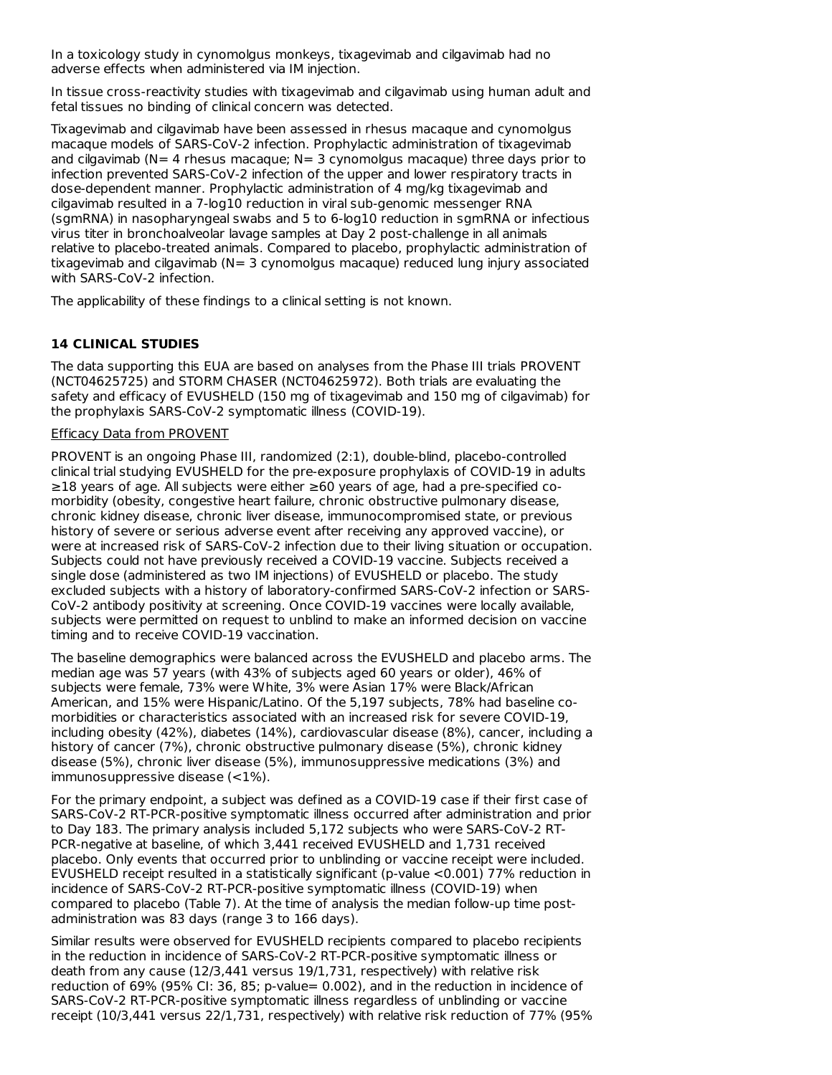In a toxicology study in cynomolgus monkeys, tixagevimab and cilgavimab had no adverse effects when administered via IM injection.

In tissue cross-reactivity studies with tixagevimab and cilgavimab using human adult and fetal tissues no binding of clinical concern was detected.

Tixagevimab and cilgavimab have been assessed in rhesus macaque and cynomolgus macaque models of SARS-CoV-2 infection. Prophylactic administration of tixagevimab and cilgavimab (N= 4 rhesus macaque; N= 3 cynomolgus macaque) three days prior to infection prevented SARS-CoV-2 infection of the upper and lower respiratory tracts in dose-dependent manner. Prophylactic administration of 4 mg/kg tixagevimab and cilgavimab resulted in a 7-log10 reduction in viral sub-genomic messenger RNA (sgmRNA) in nasopharyngeal swabs and 5 to 6-log10 reduction in sgmRNA or infectious virus titer in bronchoalveolar lavage samples at Day 2 post-challenge in all animals relative to placebo-treated animals. Compared to placebo, prophylactic administration of tixagevimab and cilgavimab (N= 3 cynomolgus macaque) reduced lung injury associated with SARS-CoV-2 infection.

The applicability of these findings to a clinical setting is not known.

# **14 CLINICAL STUDIES**

The data supporting this EUA are based on analyses from the Phase III trials PROVENT (NCT04625725) and STORM CHASER (NCT04625972). Both trials are evaluating the safety and efficacy of EVUSHELD (150 mg of tixagevimab and 150 mg of cilgavimab) for the prophylaxis SARS-CoV-2 symptomatic illness (COVID-19).

### Efficacy Data from PROVENT

PROVENT is an ongoing Phase III, randomized (2:1), double-blind, placebo-controlled clinical trial studying EVUSHELD for the pre-exposure prophylaxis of COVID-19 in adults ≥18 years of age. All subjects were either ≥60 years of age, had a pre-specified co morbidity (obesity, congestive heart failure, chronic obstructive pulmonary disease, chronic kidney disease, chronic liver disease, immunocompromised state, or previous history of severe or serious adverse event after receiving any approved vaccine), or were at increased risk of SARS-CoV-2 infection due to their living situation or occupation. Subjects could not have previously received a COVID-19 vaccine. Subjects received a single dose (administered as two IM injections) of EVUSHELD or placebo. The study excluded subjects with a history of laboratory-confirmed SARS-CoV-2 infection or SARS-CoV-2 antibody positivity at screening. Once COVID-19 vaccines were locally available, subjects were permitted on request to unblind to make an informed decision on vaccine timing and to receive COVID-19 vaccination.

The baseline demographics were balanced across the EVUSHELD and placebo arms. The median age was 57 years (with 43% of subjects aged 60 years or older), 46% of subjects were female, 73% were White, 3% were Asian 17% were Black/African American, and 15% were Hispanic/Latino. Of the 5,197 subjects, 78% had baseline co morbidities or characteristics associated with an increased risk for severe COVID-19, including obesity (42%), diabetes (14%), cardiovascular disease (8%), cancer, including a history of cancer (7%), chronic obstructive pulmonary disease (5%), chronic kidney disease (5%), chronic liver disease (5%), immunosuppressive medications (3%) and immunosuppressive disease (<1%).

For the primary endpoint, a subject was defined as a COVID-19 case if their first case of SARS-CoV-2 RT-PCR-positive symptomatic illness occurred after administration and prior to Day 183. The primary analysis included 5,172 subjects who were SARS-CoV-2 RT-PCR-negative at baseline, of which 3,441 received EVUSHELD and 1,731 received placebo. Only events that occurred prior to unblinding or vaccine receipt were included. EVUSHELD receipt resulted in a statistically significant (p-value <0.001) 77% reduction in incidence of SARS-CoV-2 RT-PCR-positive symptomatic illness (COVID-19) when compared to placebo (Table 7). At the time of analysis the median follow-up time postadministration was 83 days (range 3 to 166 days).

Similar results were observed for EVUSHELD recipients compared to placebo recipients in the reduction in incidence of SARS-CoV-2 RT-PCR-positive symptomatic illness or death from any cause (12/3,441 versus 19/1,731, respectively) with relative risk reduction of 69% (95% CI: 36, 85; p-value= 0.002), and in the reduction in incidence of SARS-CoV-2 RT-PCR-positive symptomatic illness regardless of unblinding or vaccine receipt (10/3,441 versus 22/1,731, respectively) with relative risk reduction of 77% (95%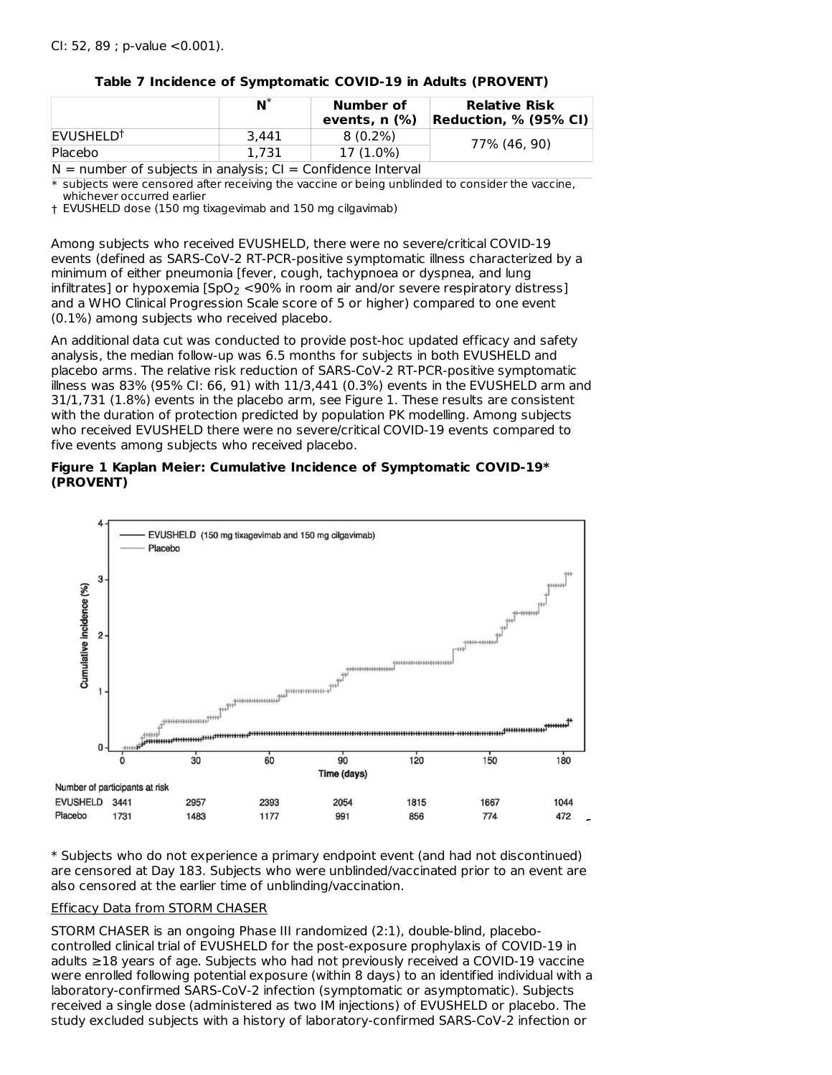|                       | $N^*$ | Number of<br>events, $n$ $(\%)$ | <b>Relative Risk</b><br>Reduction, % (95% CI) |
|-----------------------|-------|---------------------------------|-----------------------------------------------|
| EVUSHELD <sup>†</sup> | 3.441 | $8(0.2\%)$                      | 77% (46, 90)                                  |
| Placebo               | 1.731 | 17 (1.0%)                       |                                               |
| . .                   | .     |                                 |                                               |

### **Table 7 Incidence of Symptomatic COVID-19 in Adults (PROVENT)**

\*  $N =$  number of subjects in analysis;  $CI =$  Confidence Interval subjects were censored after receiving the vaccine or being unblinded to consider the vaccine,

whichever occurred earlier

† EVUSHELD dose (150 mg tixagevimab and 150 mg cilgavimab)

Among subjects who received EVUSHELD, there were no severe/critical COVID-19 events (defined as SARS-CoV-2 RT-PCR-positive symptomatic illness characterized by a minimum of either pneumonia [fever, cough, tachypnoea or dyspnea, and lung infiltrates] or hypoxemia [SpO $_2$  <90% in room air and/or severe respiratory distress] and a WHO Clinical Progression Scale score of 5 or higher) compared to one event (0.1%) among subjects who received placebo.

An additional data cut was conducted to provide post-hoc updated efficacy and safety analysis, the median follow-up was 6.5 months for subjects in both EVUSHELD and placebo arms. The relative risk reduction of SARS-CoV-2 RT-PCR-positive symptomatic illness was 83% (95% CI: 66, 91) with 11/3,441 (0.3%) events in the EVUSHELD arm and 31/1,731 (1.8%) events in the placebo arm, see Figure 1. These results are consistent with the duration of protection predicted by population PK modelling. Among subjects who received EVUSHELD there were no severe/critical COVID-19 events compared to five events among subjects who received placebo.

### **Figure 1 Kaplan Meier: Cumulative Incidence of Symptomatic COVID-19\* (PROVENT)**



\* Subjects who do not experience a primary endpoint event (and had not discontinued) are censored at Day 183. Subjects who were unblinded/vaccinated prior to an event are also censored at the earlier time of unblinding/vaccination.

### Efficacy Data from STORM CHASER

STORM CHASER is an ongoing Phase III randomized (2:1), double-blind, placebocontrolled clinical trial of EVUSHELD for the post-exposure prophylaxis of COVID-19 in adults ≥18 years of age. Subjects who had not previously received a COVID-19 vaccine were enrolled following potential exposure (within 8 days) to an identified individual with a laboratory-confirmed SARS-CoV-2 infection (symptomatic or asymptomatic). Subjects received a single dose (administered as two IM injections) of EVUSHELD or placebo. The study excluded subjects with a history of laboratory-confirmed SARS-CoV-2 infection or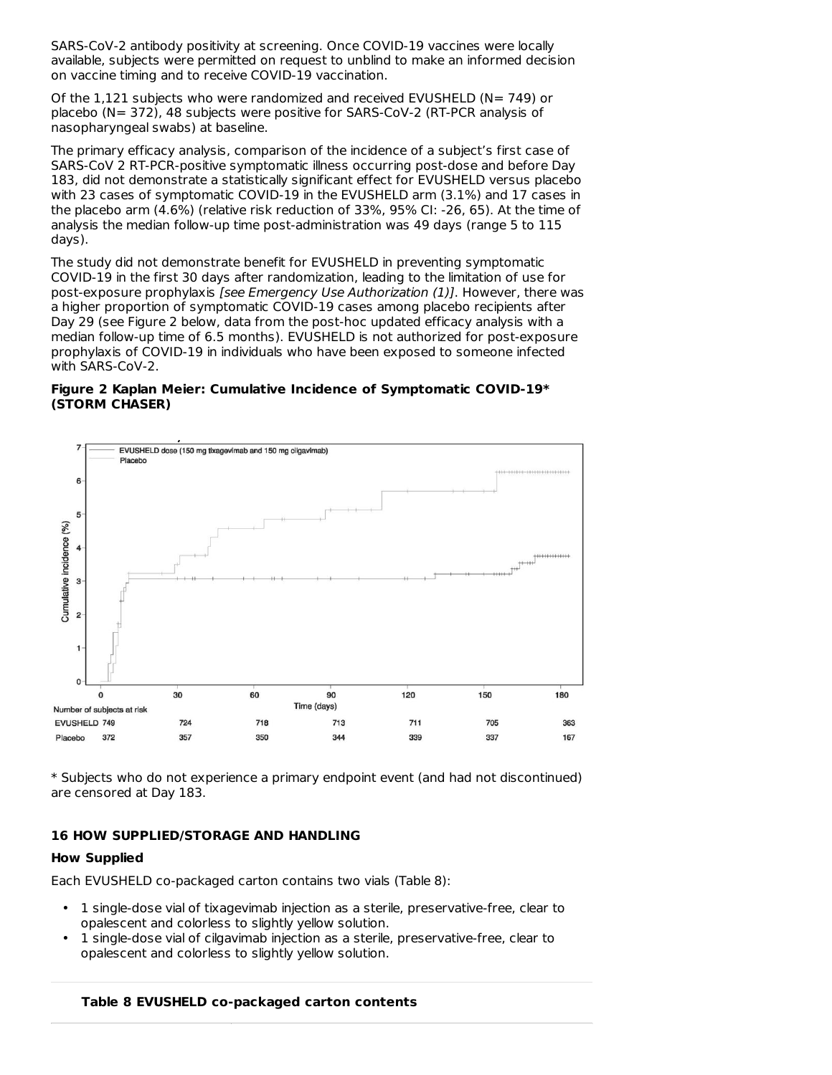SARS-CoV-2 antibody positivity at screening. Once COVID-19 vaccines were locally available, subjects were permitted on request to unblind to make an informed decision on vaccine timing and to receive COVID-19 vaccination.

Of the 1,121 subjects who were randomized and received EVUSHELD (N= 749) or placebo (N= 372), 48 subjects were positive for SARS-CoV-2 (RT-PCR analysis of nasopharyngeal swabs) at baseline.

The primary efficacy analysis, comparison of the incidence of a subject's first case of SARS-CoV 2 RT-PCR-positive symptomatic illness occurring post-dose and before Day 183, did not demonstrate a statistically significant effect for EVUSHELD versus placebo with 23 cases of symptomatic COVID-19 in the EVUSHELD arm (3.1%) and 17 cases in the placebo arm (4.6%) (relative risk reduction of 33%, 95% CI: -26, 65). At the time of analysis the median follow-up time post-administration was 49 days (range 5 to 115 days).

The study did not demonstrate benefit for EVUSHELD in preventing symptomatic COVID-19 in the first 30 days after randomization, leading to the limitation of use for post-exposure prophylaxis [see Emergency Use Authorization (1)]. However, there was a higher proportion of symptomatic COVID-19 cases among placebo recipients after Day 29 (see Figure 2 below, data from the post-hoc updated efficacy analysis with a median follow-up time of 6.5 months). EVUSHELD is not authorized for post-exposure prophylaxis of COVID-19 in individuals who have been exposed to someone infected with SARS-CoV-2.

### **Figure 2 Kaplan Meier: Cumulative Incidence of Symptomatic COVID-19\* (STORM CHASER)**



\* Subjects who do not experience a primary endpoint event (and had not discontinued) are censored at Day 183.

# **16 HOW SUPPLIED/STORAGE AND HANDLING**

### **How Supplied**

Each EVUSHELD co-packaged carton contains two vials (Table 8):

- 1 single-dose vial of tixagevimab injection as a sterile, preservative-free, clear to opalescent and colorless to slightly yellow solution.
- 1 single-dose vial of cilgavimab injection as a sterile, preservative-free, clear to opalescent and colorless to slightly yellow solution.

### **Table 8 EVUSHELD co-packaged carton contents**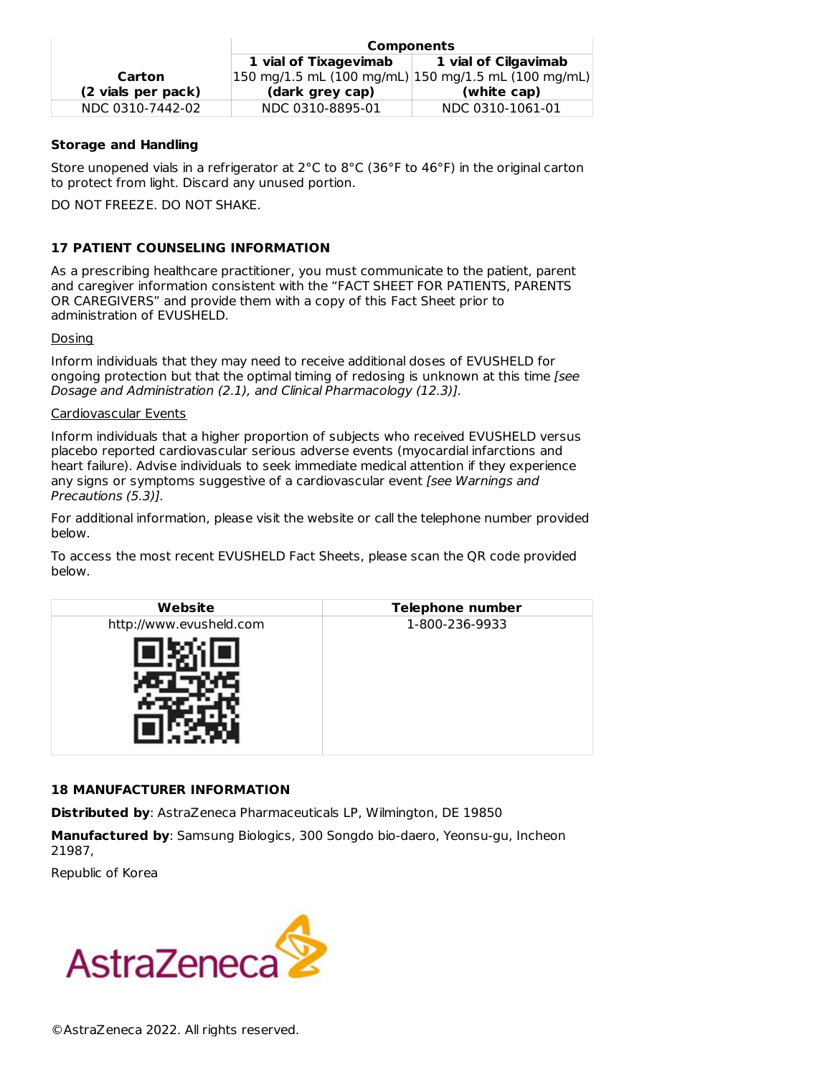|                    | <b>Components</b>                                                      |                  |  |
|--------------------|------------------------------------------------------------------------|------------------|--|
|                    | 1 vial of Tixagevimab<br>1 vial of Cilgavimab                          |                  |  |
| Carton             | $ 150 \text{ mg}/1.5 \text{ mL}$ (100 mg/mL) 150 mg/1.5 mL (100 mg/mL) |                  |  |
| (2 vials per pack) | (dark grey cap)                                                        | (white cap)      |  |
| NDC 0310-7442-02   | NDC 0310-8895-01                                                       | NDC 0310-1061-01 |  |

## **Storage and Handling**

Store unopened vials in a refrigerator at 2°C to 8°C (36°F to 46°F) in the original carton to protect from light. Discard any unused portion.

DO NOT FREEZE. DO NOT SHAKE.

# **17 PATIENT COUNSELING INFORMATION**

As a prescribing healthcare practitioner, you must communicate to the patient, parent and caregiver information consistent with the "FACT SHEET FOR PATIENTS, PARENTS OR CAREGIVERS" and provide them with a copy of this Fact Sheet prior to administration of EVUSHELD.

### **Dosing**

Inform individuals that they may need to receive additional doses of EVUSHELD for ongoing protection but that the optimal timing of redosing is unknown at this time *[see*] Dosage and Administration (2.1), and Clinical Pharmacology (12.3)].

### Cardiovascular Events

Inform individuals that a higher proportion of subjects who received EVUSHELD versus placebo reported cardiovascular serious adverse events (myocardial infarctions and heart failure). Advise individuals to seek immediate medical attention if they experience any signs or symptoms suggestive of a cardiovascular event [see Warnings and Precautions (5.3)].

For additional information, please visit the website or call the telephone number provided below.

To access the most recent EVUSHELD Fact Sheets, please scan the QR code provided below.

| Website                 | <b>Telephone number</b> |
|-------------------------|-------------------------|
| http://www.evusheld.com | 1-800-236-9933          |
|                         |                         |

### **18 MANUFACTURER INFORMATION**

**Distributed by**: AstraZeneca Pharmaceuticals LP, Wilmington, DE 19850

**Manufactured by**: Samsung Biologics, 300 Songdo bio-daero, Yeonsu-gu, Incheon 21987,

Republic of Korea



©AstraZeneca 2022. All rights reserved.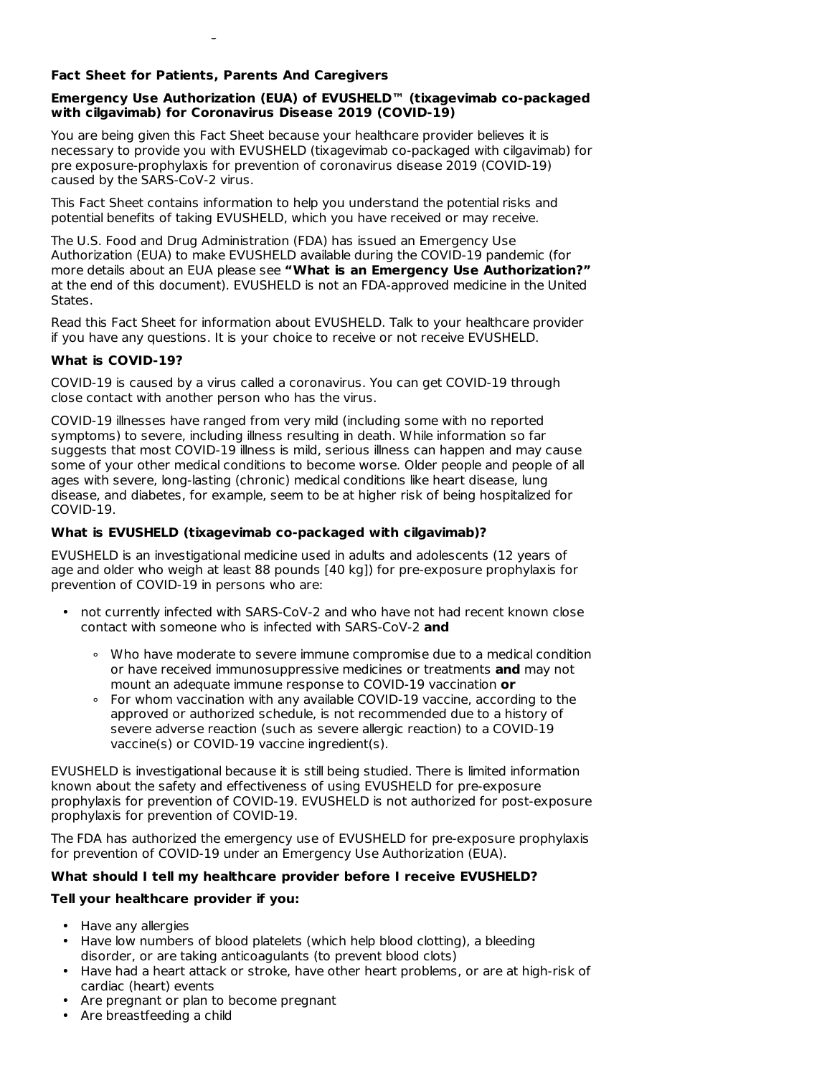### **Fact Sheet for Patients, Parents And Caregivers**

©AstraZeneca 2022. All rights reserved.

### **Emergency Use Authorization (EUA) of EVUSHELD™ (tixagevimab co-packaged with cilgavimab) for Coronavirus Disease 2019 (COVID-19)**

You are being given this Fact Sheet because your healthcare provider believes it is necessary to provide you with EVUSHELD (tixagevimab co-packaged with cilgavimab) for pre exposure-prophylaxis for prevention of coronavirus disease 2019 (COVID-19) caused by the SARS-CoV-2 virus.

This Fact Sheet contains information to help you understand the potential risks and potential benefits of taking EVUSHELD, which you have received or may receive.

The U.S. Food and Drug Administration (FDA) has issued an Emergency Use Authorization (EUA) to make EVUSHELD available during the COVID-19 pandemic (for more details about an EUA please see **"What is an Emergency Use Authorization?"** at the end of this document). EVUSHELD is not an FDA-approved medicine in the United States.

Read this Fact Sheet for information about EVUSHELD. Talk to your healthcare provider if you have any questions. It is your choice to receive or not receive EVUSHELD.

# **What is COVID-19?**

COVID-19 is caused by a virus called a coronavirus. You can get COVID-19 through close contact with another person who has the virus.

COVID-19 illnesses have ranged from very mild (including some with no reported symptoms) to severe, including illness resulting in death. While information so far suggests that most COVID-19 illness is mild, serious illness can happen and may cause some of your other medical conditions to become worse. Older people and people of all ages with severe, long-lasting (chronic) medical conditions like heart disease, lung disease, and diabetes, for example, seem to be at higher risk of being hospitalized for COVID-19.

# **What is EVUSHELD (tixagevimab co-packaged with cilgavimab)?**

EVUSHELD is an investigational medicine used in adults and adolescents (12 years of age and older who weigh at least 88 pounds [40 kg]) for pre-exposure prophylaxis for prevention of COVID-19 in persons who are:

- not currently infected with SARS-CoV-2 and who have not had recent known close contact with someone who is infected with SARS-CoV-2 **and**
	- ∘ Who have moderate to severe immune compromise due to a medical condition or have received immunosuppressive medicines or treatments **and** may not mount an adequate immune response to COVID-19 vaccination **or**
	- ∘ For whom vaccination with any available COVID-19 vaccine, according to the approved or authorized schedule, is not recommended due to a history of severe adverse reaction (such as severe allergic reaction) to a COVID-19 vaccine(s) or COVID-19 vaccine ingredient(s).

EVUSHELD is investigational because it is still being studied. There is limited information known about the safety and effectiveness of using EVUSHELD for pre-exposure prophylaxis for prevention of COVID-19. EVUSHELD is not authorized for post-exposure prophylaxis for prevention of COVID-19.

The FDA has authorized the emergency use of EVUSHELD for pre-exposure prophylaxis for prevention of COVID-19 under an Emergency Use Authorization (EUA).

# **What should I tell my healthcare provider before I receive EVUSHELD?**

# **Tell your healthcare provider if you:**

- Have any allergies
- Have low numbers of blood platelets (which help blood clotting), a bleeding disorder, or are taking anticoagulants (to prevent blood clots)
- Have had a heart attack or stroke, have other heart problems, or are at high-risk of cardiac (heart) events
- Are pregnant or plan to become pregnant
- Are breastfeeding a child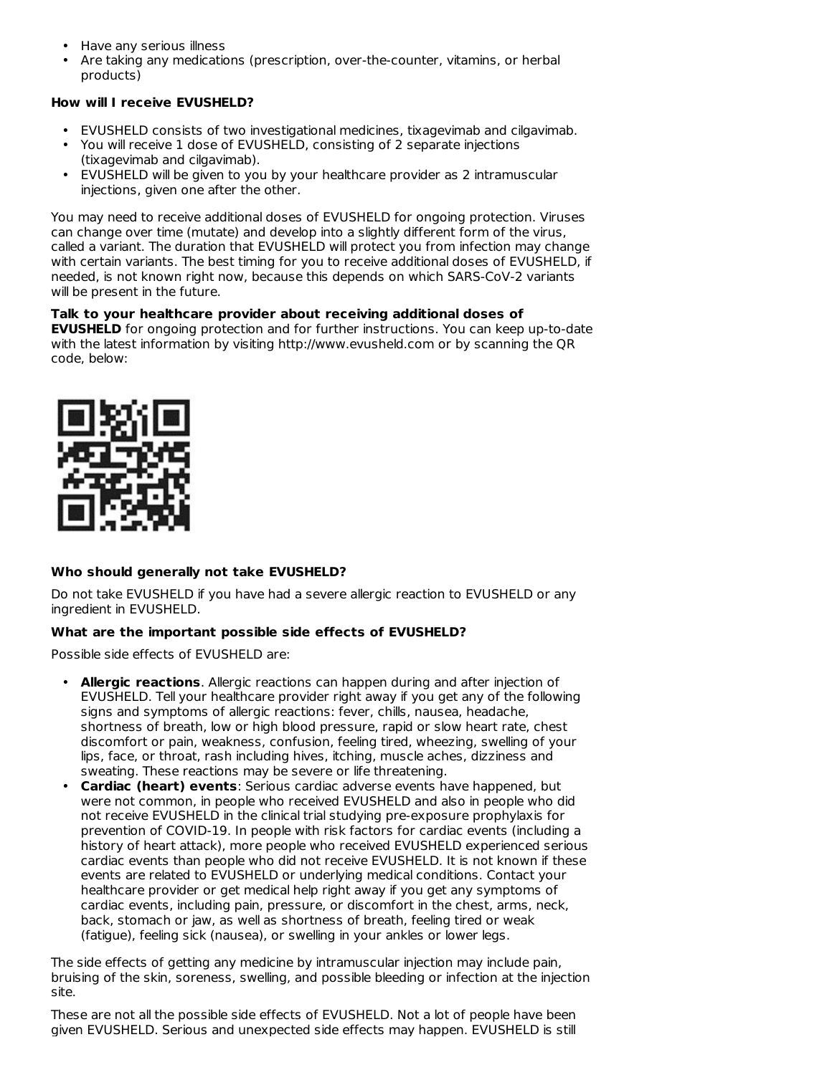- Have any serious illness
- Are taking any medications (prescription, over-the-counter, vitamins, or herbal products)

### **How will I receive EVUSHELD?**

- EVUSHELD consists of two investigational medicines, tixagevimab and cilgavimab.
- You will receive 1 dose of EVUSHELD, consisting of 2 separate injections (tixagevimab and cilgavimab).
- EVUSHELD will be given to you by your healthcare provider as 2 intramuscular injections, given one after the other.

You may need to receive additional doses of EVUSHELD for ongoing protection. Viruses can change over time (mutate) and develop into a slightly different form of the virus, called a variant. The duration that EVUSHELD will protect you from infection may change with certain variants. The best timing for you to receive additional doses of EVUSHELD, if needed, is not known right now, because this depends on which SARS-CoV-2 variants will be present in the future.

**Talk to your healthcare provider about receiving additional doses of EVUSHELD** for ongoing protection and for further instructions. You can keep up-to-date with the latest information by visiting http://www.evusheld.com or by scanning the QR code, below:



# **Who should generally not take EVUSHELD?**

Do not take EVUSHELD if you have had a severe allergic reaction to EVUSHELD or any ingredient in EVUSHELD.

# **What are the important possible side effects of EVUSHELD?**

Possible side effects of EVUSHELD are:

- **Allergic reactions**. Allergic reactions can happen during and after injection of EVUSHELD. Tell your healthcare provider right away if you get any of the following signs and symptoms of allergic reactions: fever, chills, nausea, headache, shortness of breath, low or high blood pressure, rapid or slow heart rate, chest discomfort or pain, weakness, confusion, feeling tired, wheezing, swelling of your lips, face, or throat, rash including hives, itching, muscle aches, dizziness and sweating. These reactions may be severe or life threatening.
- **Cardiac (heart) events**: Serious cardiac adverse events have happened, but were not common, in people who received EVUSHELD and also in people who did not receive EVUSHELD in the clinical trial studying pre-exposure prophylaxis for prevention of COVID-19. In people with risk factors for cardiac events (including a history of heart attack), more people who received EVUSHELD experienced serious cardiac events than people who did not receive EVUSHELD. It is not known if these events are related to EVUSHELD or underlying medical conditions. Contact your healthcare provider or get medical help right away if you get any symptoms of cardiac events, including pain, pressure, or discomfort in the chest, arms, neck, back, stomach or jaw, as well as shortness of breath, feeling tired or weak (fatigue), feeling sick (nausea), or swelling in your ankles or lower legs.

The side effects of getting any medicine by intramuscular injection may include pain, bruising of the skin, soreness, swelling, and possible bleeding or infection at the injection site.

These are not all the possible side effects of EVUSHELD. Not a lot of people have been given EVUSHELD. Serious and unexpected side effects may happen. EVUSHELD is still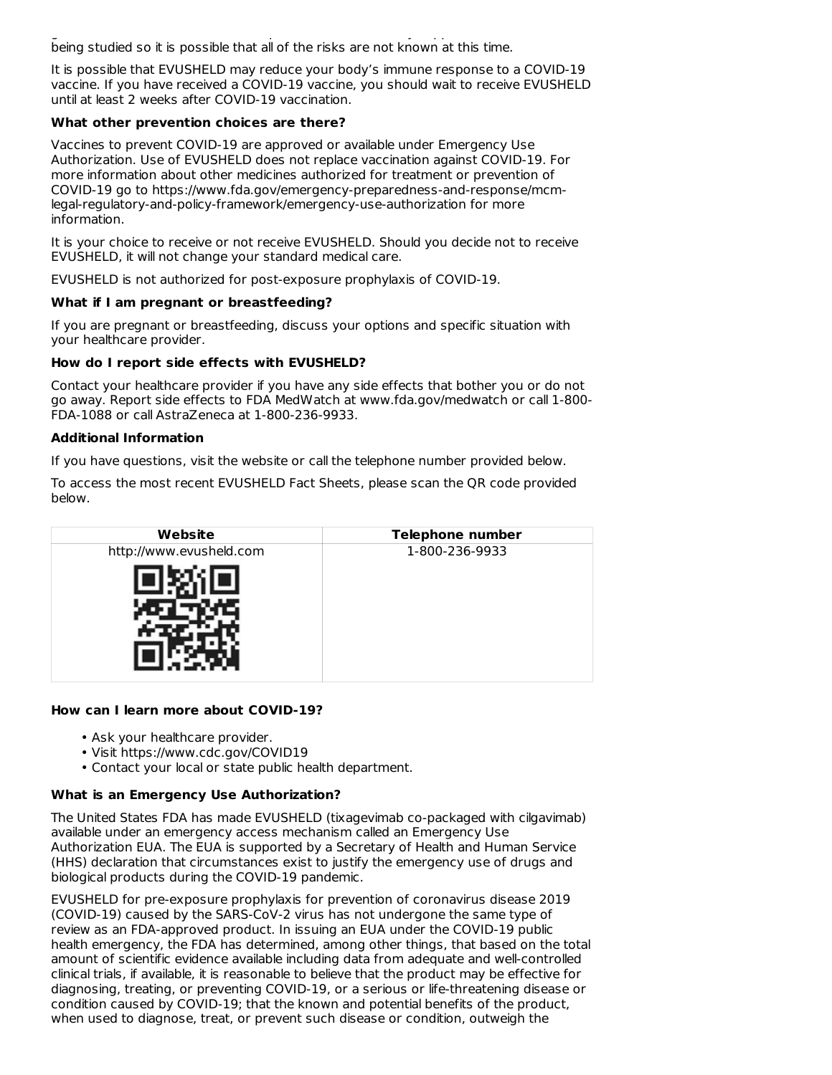given EVUSHELD. Serious and unexpected side effects may happen. EVUSHELD is still being studied so it is possible that all of the risks are not known at this time.

It is possible that EVUSHELD may reduce your body's immune response to a COVID-19 vaccine. If you have received a COVID-19 vaccine, you should wait to receive EVUSHELD until at least 2 weeks after COVID-19 vaccination.

### **What other prevention choices are there?**

Vaccines to prevent COVID-19 are approved or available under Emergency Use Authorization. Use of EVUSHELD does not replace vaccination against COVID-19. For more information about other medicines authorized for treatment or prevention of COVID-19 go to https://www.fda.gov/emergency-preparedness-and-response/mcmlegal-regulatory-and-policy-framework/emergency-use-authorization for more information.

It is your choice to receive or not receive EVUSHELD. Should you decide not to receive EVUSHELD, it will not change your standard medical care.

EVUSHELD is not authorized for post-exposure prophylaxis of COVID-19.

### **What if I am pregnant or breastfeeding?**

If you are pregnant or breastfeeding, discuss your options and specific situation with your healthcare provider.

### **How do I report side effects with EVUSHELD?**

Contact your healthcare provider if you have any side effects that bother you or do not go away. Report side effects to FDA MedWatch at www.fda.gov/medwatch or call 1-800- FDA-1088 or call AstraZeneca at 1-800-236-9933.

### **Additional Information**

If you have questions, visit the website or call the telephone number provided below.

To access the most recent EVUSHELD Fact Sheets, please scan the QR code provided below.

| Website                 | <b>Telephone number</b> |
|-------------------------|-------------------------|
| http://www.evusheld.com | 1-800-236-9933          |
|                         |                         |

### **How can I learn more about COVID-19?**

- Ask your healthcare provider.
- Visit https://www.cdc.gov/COVID19
- Contact your local or state public health department.

### **What is an Emergency Use Authorization?**

The United States FDA has made EVUSHELD (tixagevimab co-packaged with cilgavimab) available under an emergency access mechanism called an Emergency Use Authorization EUA. The EUA is supported by a Secretary of Health and Human Service (HHS) declaration that circumstances exist to justify the emergency use of drugs and biological products during the COVID-19 pandemic.

EVUSHELD for pre-exposure prophylaxis for prevention of coronavirus disease 2019 (COVID-19) caused by the SARS-CoV-2 virus has not undergone the same type of review as an FDA-approved product. In issuing an EUA under the COVID-19 public health emergency, the FDA has determined, among other things, that based on the total amount of scientific evidence available including data from adequate and well-controlled clinical trials, if available, it is reasonable to believe that the product may be effective for diagnosing, treating, or preventing COVID-19, or a serious or life-threatening disease or condition caused by COVID-19; that the known and potential benefits of the product, when used to diagnose, treat, or prevent such disease or condition, outweigh the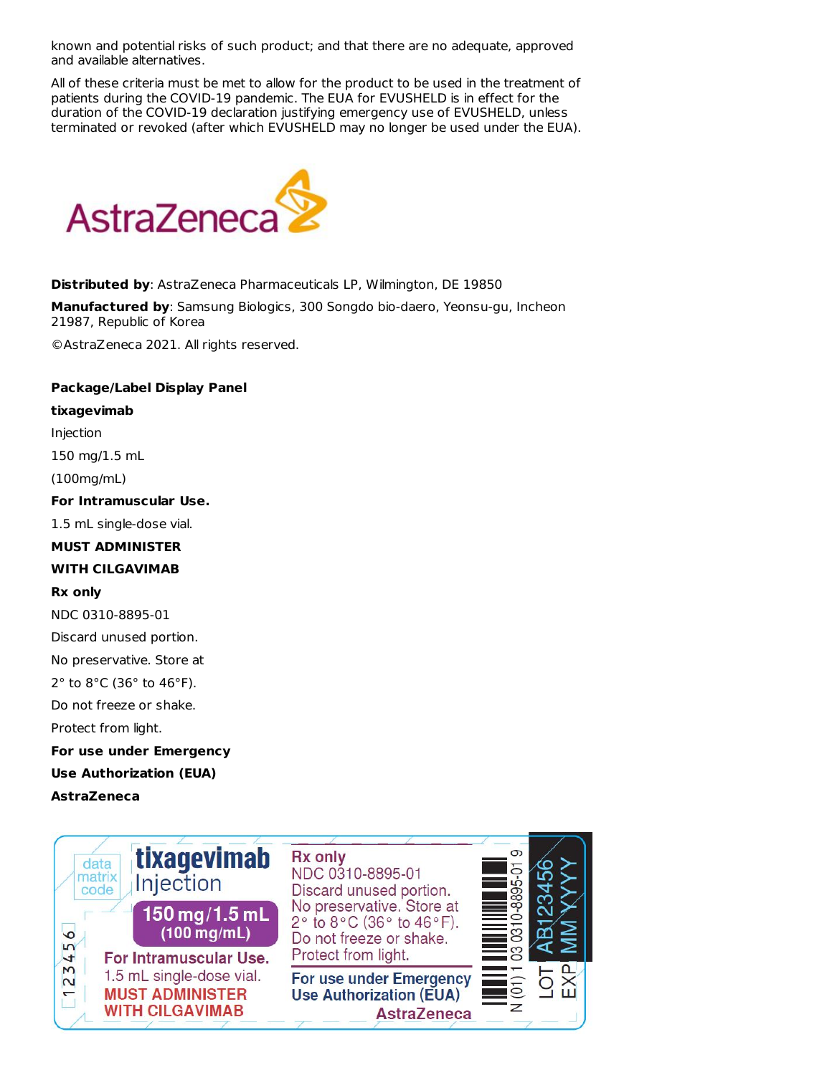known and potential risks of such product; and that there are no adequate, approved and available alternatives.

All of these criteria must be met to allow for the product to be used in the treatment of patients during the COVID-19 pandemic. The EUA for EVUSHELD is in effect for the duration of the COVID-19 declaration justifying emergency use of EVUSHELD, unless terminated or revoked (after which EVUSHELD may no longer be used under the EUA).



**Distributed by**: AstraZeneca Pharmaceuticals LP, Wilmington, DE 19850 **Manufactured by**: Samsung Biologics, 300 Songdo bio-daero, Yeonsu-gu, Incheon 21987, Republic of Korea ©AstraZeneca 2021. All rights reserved.

### **Package/Label Display Panel**

### **tixagevimab**

Injection

150 mg/1.5 mL

(100mg/mL)

### **For Intramuscular Use.**

1.5 mL single-dose vial.

### **MUST ADMINISTER**

### **WITH CILGAVIMAB**

### **Rx only**

NDC 0310-8895-01

Discard unused portion.

No preservative. Store at

2° to 8°C (36° to 46°F).

Do not freeze or shake.

Protect from light.

**For use under Emergency**

**Use Authorization (EUA)**

**AstraZeneca**

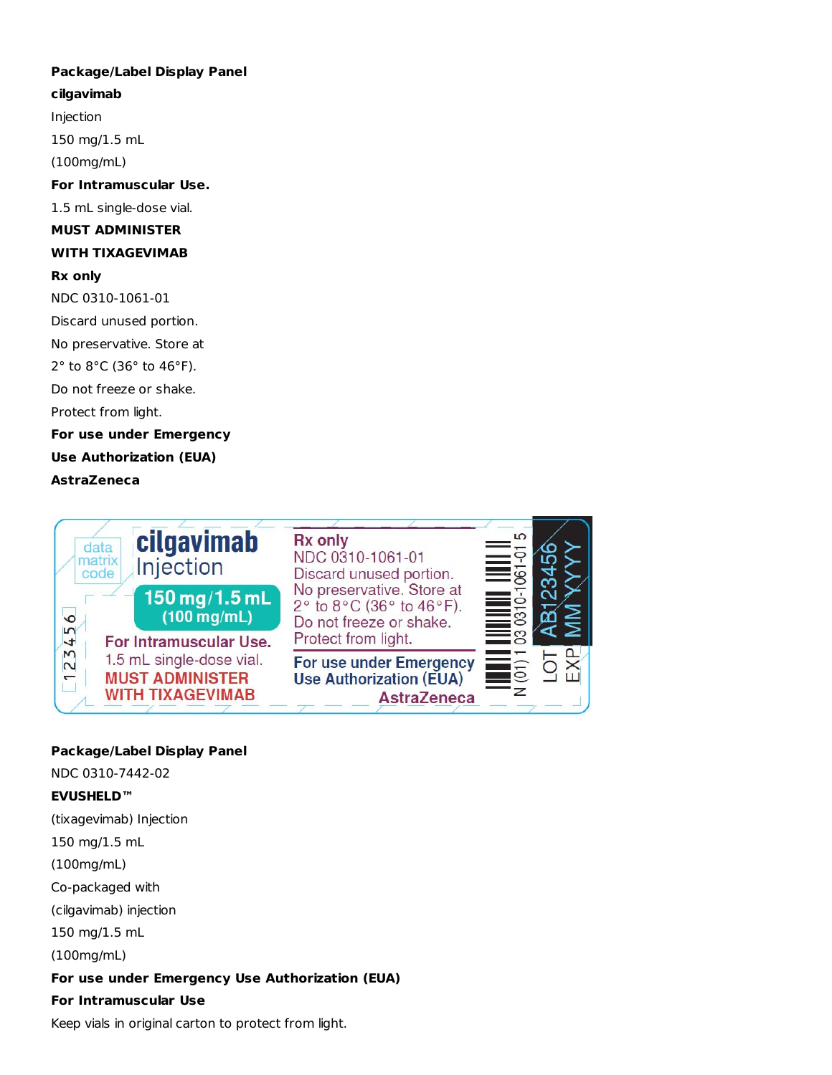# **Package/Label Display Panel**

## **cilgavimab**

Injection

150 mg/1.5 mL

(100mg/mL)

**For Intramuscular Use.**

1.5 mL single-dose vial.

### **MUST ADMINISTER**

## **WITH TIXAGEVIMAB**

### **Rx only**

NDC 0310-1061-01 Discard unused portion. No preservative. Store at 2° to 8°C (36° to 46°F). Do not freeze or shake. Protect from light. **For use under Emergency**

**Use Authorization (EUA)**

# **AstraZeneca**



# **Package/Label Display Panel**

NDC 0310-7442-02

# **EVUSHELD™**

(tixagevimab) Injection

150 mg/1.5 mL

(100mg/mL)

Co-packaged with

(cilgavimab) injection

150 mg/1.5 mL

(100mg/mL)

# **For use under Emergency Use Authorization (EUA)**

# **For Intramuscular Use**

Keep vials in original carton to protect from light.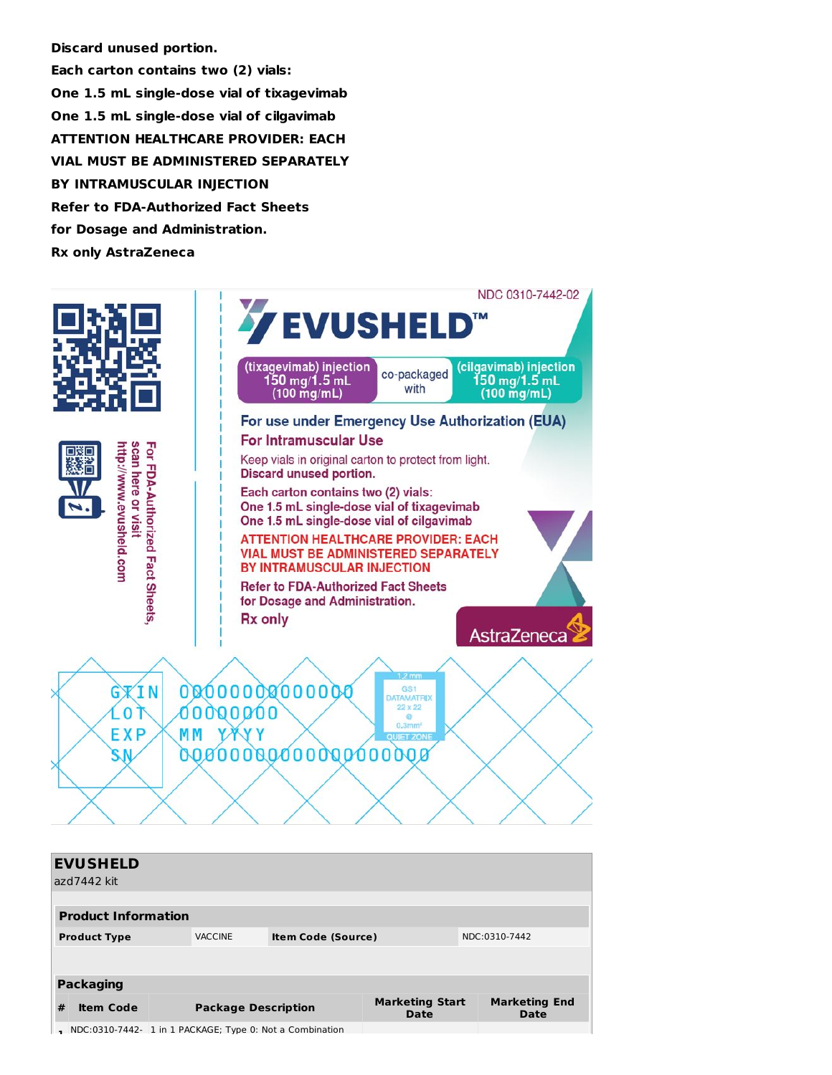**Discard unused portion.**

**Each carton contains two (2) vials: One 1.5 mL single-dose vial of tixagevimab One 1.5 mL single-dose vial of cilgavimab ATTENTION HEALTHCARE PROVIDER: EACH VIAL MUST BE ADMINISTERED SEPARATELY BY INTRAMUSCULAR INJECTION Refer to FDA-Authorized Fact Sheets for Dosage and Administration. Rx only AstraZeneca**



|                  | <b>EVUSHELD</b><br>azd7442 kit                           |                                             |                            |               |                                       |                                     |
|------------------|----------------------------------------------------------|---------------------------------------------|----------------------------|---------------|---------------------------------------|-------------------------------------|
|                  | <b>Product Information</b>                               |                                             |                            |               |                                       |                                     |
|                  | <b>Product Type</b>                                      | <b>VACCINE</b><br><b>Item Code (Source)</b> |                            | NDC:0310-7442 |                                       |                                     |
|                  |                                                          |                                             |                            |               |                                       |                                     |
| <b>Packaging</b> |                                                          |                                             |                            |               |                                       |                                     |
| #                | <b>Item Code</b>                                         |                                             | <b>Package Description</b> |               | <b>Marketing Start</b><br><b>Date</b> | <b>Marketing End</b><br><b>Date</b> |
|                  | NDC:0310-7442- 1 in 1 PACKAGE; Type 0: Not a Combination |                                             |                            |               |                                       |                                     |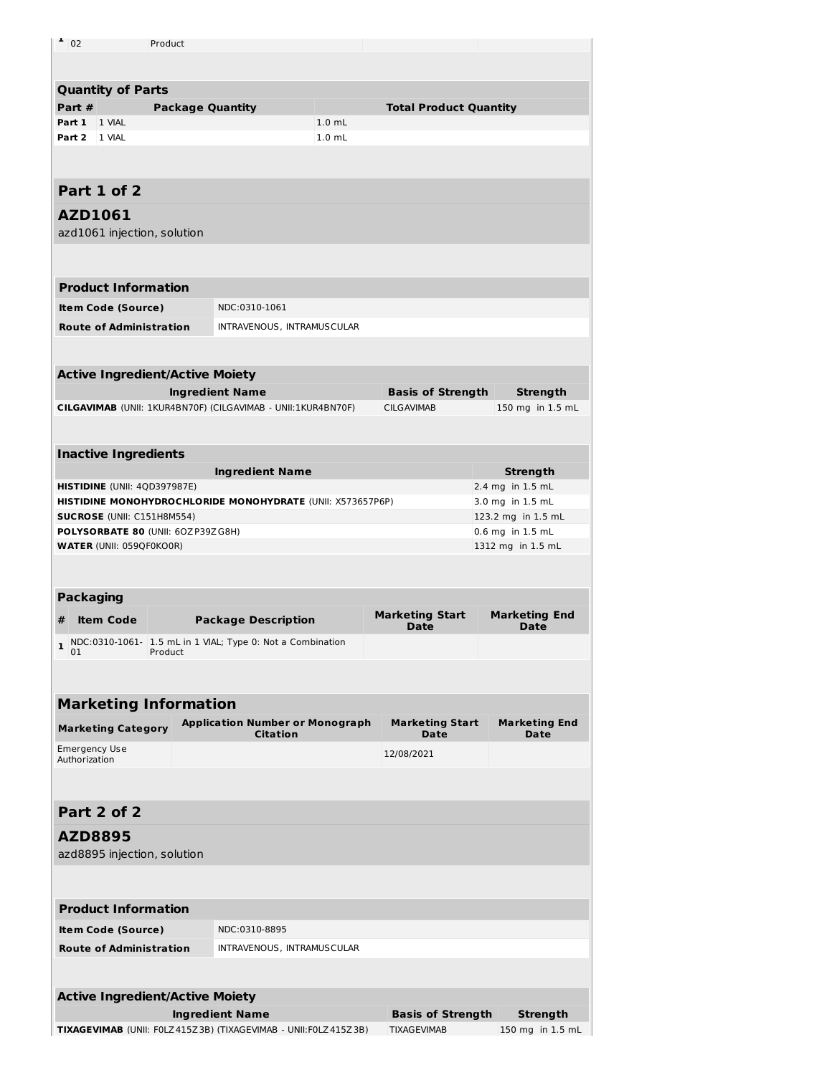| $-102$                                                       | Product                 |                                                                                               |          |                                                |                                        |
|--------------------------------------------------------------|-------------------------|-----------------------------------------------------------------------------------------------|----------|------------------------------------------------|----------------------------------------|
| <b>Quantity of Parts</b>                                     |                         |                                                                                               |          |                                                |                                        |
| Part #                                                       | <b>Package Quantity</b> |                                                                                               |          | <b>Total Product Quantity</b>                  |                                        |
| 1 VIAL<br>Part 1                                             |                         |                                                                                               | $1.0$ mL |                                                |                                        |
| 1 VIAL<br>Part 2                                             |                         |                                                                                               | $1.0$ mL |                                                |                                        |
|                                                              |                         |                                                                                               |          |                                                |                                        |
| Part 1 of 2                                                  |                         |                                                                                               |          |                                                |                                        |
| AZD1061<br>azd1061 injection, solution                       |                         |                                                                                               |          |                                                |                                        |
|                                                              |                         |                                                                                               |          |                                                |                                        |
| <b>Product Information</b>                                   |                         |                                                                                               |          |                                                |                                        |
| <b>Item Code (Source)</b>                                    |                         | NDC:0310-1061                                                                                 |          |                                                |                                        |
| <b>Route of Administration</b>                               |                         | INTRAVENOUS, INTRAMUSCULAR                                                                    |          |                                                |                                        |
|                                                              |                         |                                                                                               |          |                                                |                                        |
| <b>Active Ingredient/Active Moiety</b>                       |                         |                                                                                               |          |                                                |                                        |
|                                                              |                         | <b>Ingredient Name</b>                                                                        |          | <b>Basis of Strength</b>                       | <b>Strength</b>                        |
|                                                              |                         | CILGAVIMAB (UNII: 1KUR4BN70F) (CILGAVIMAB - UNII:1KUR4BN70F)                                  |          | <b>CILGAVIMAB</b>                              | 150 mg in 1.5 mL                       |
|                                                              |                         |                                                                                               |          |                                                |                                        |
| <b>Inactive Ingredients</b>                                  |                         |                                                                                               |          |                                                |                                        |
|                                                              |                         | <b>Ingredient Name</b>                                                                        |          |                                                | <b>Strength</b>                        |
| <b>HISTIDINE</b> (UNII: 4QD397987E)                          |                         |                                                                                               |          |                                                | 2.4 mg in 1.5 mL                       |
| <b>SUCROSE</b> (UNII: C151H8M554)                            |                         | <b>HISTIDINE MONOHYDROCHLORIDE MONOHYDRATE (UNII: X573657P6P)</b>                             |          |                                                | 3.0 mg in 1.5 mL<br>123.2 mg in 1.5 mL |
| POLYSORBATE 80 (UNII: 60ZP39ZG8H)                            |                         |                                                                                               |          |                                                | 0.6 mg in 1.5 mL                       |
| <b>WATER (UNII: 059QF0KO0R)</b>                              |                         |                                                                                               |          |                                                | 1312 mg in 1.5 mL                      |
|                                                              |                         |                                                                                               |          |                                                |                                        |
| <b>Packaging</b>                                             |                         |                                                                                               |          |                                                |                                        |
| <b>Item Code</b><br>#                                        |                         | <b>Package Description</b>                                                                    |          | <b>Marketing Start</b><br>Date                 | <b>Marketing End</b><br>Date           |
| 1<br>01                                                      | Product                 | NDC:0310-1061- 1.5 mL in 1 VIAL; Type 0: Not a Combination                                    |          |                                                |                                        |
| <b>Marketing Information</b>                                 |                         |                                                                                               |          |                                                |                                        |
| <b>Marketing Category</b>                                    |                         | <b>Application Number or Monograph</b><br>Citation                                            |          | <b>Marketing Start</b><br>Date                 | <b>Marketing End</b><br>Date           |
| <b>Emergency Use</b><br>Authorization                        |                         |                                                                                               |          | 12/08/2021                                     |                                        |
|                                                              |                         |                                                                                               |          |                                                |                                        |
| Part 2 of 2                                                  |                         |                                                                                               |          |                                                |                                        |
| AZD8895<br>azd8895 injection, solution                       |                         |                                                                                               |          |                                                |                                        |
|                                                              |                         |                                                                                               |          |                                                |                                        |
| <b>Product Information</b>                                   |                         |                                                                                               |          |                                                |                                        |
| Item Code (Source)                                           |                         | NDC:0310-8895                                                                                 |          |                                                |                                        |
| <b>Route of Administration</b><br>INTRAVENOUS, INTRAMUSCULAR |                         |                                                                                               |          |                                                |                                        |
|                                                              |                         |                                                                                               |          |                                                |                                        |
|                                                              |                         |                                                                                               |          |                                                |                                        |
| <b>Active Ingredient/Active Moiety</b>                       |                         |                                                                                               |          |                                                |                                        |
|                                                              |                         |                                                                                               |          |                                                |                                        |
|                                                              |                         | <b>Ingredient Name</b><br>TIXAGEVIMAB (UNII: F0LZ 415Z 3B) (TIXAGEVIMAB - UNII: F0LZ 415Z 3B) |          | <b>Basis of Strength</b><br><b>TIXAGEVIMAB</b> | <b>Strength</b><br>150 mg in 1.5 mL    |